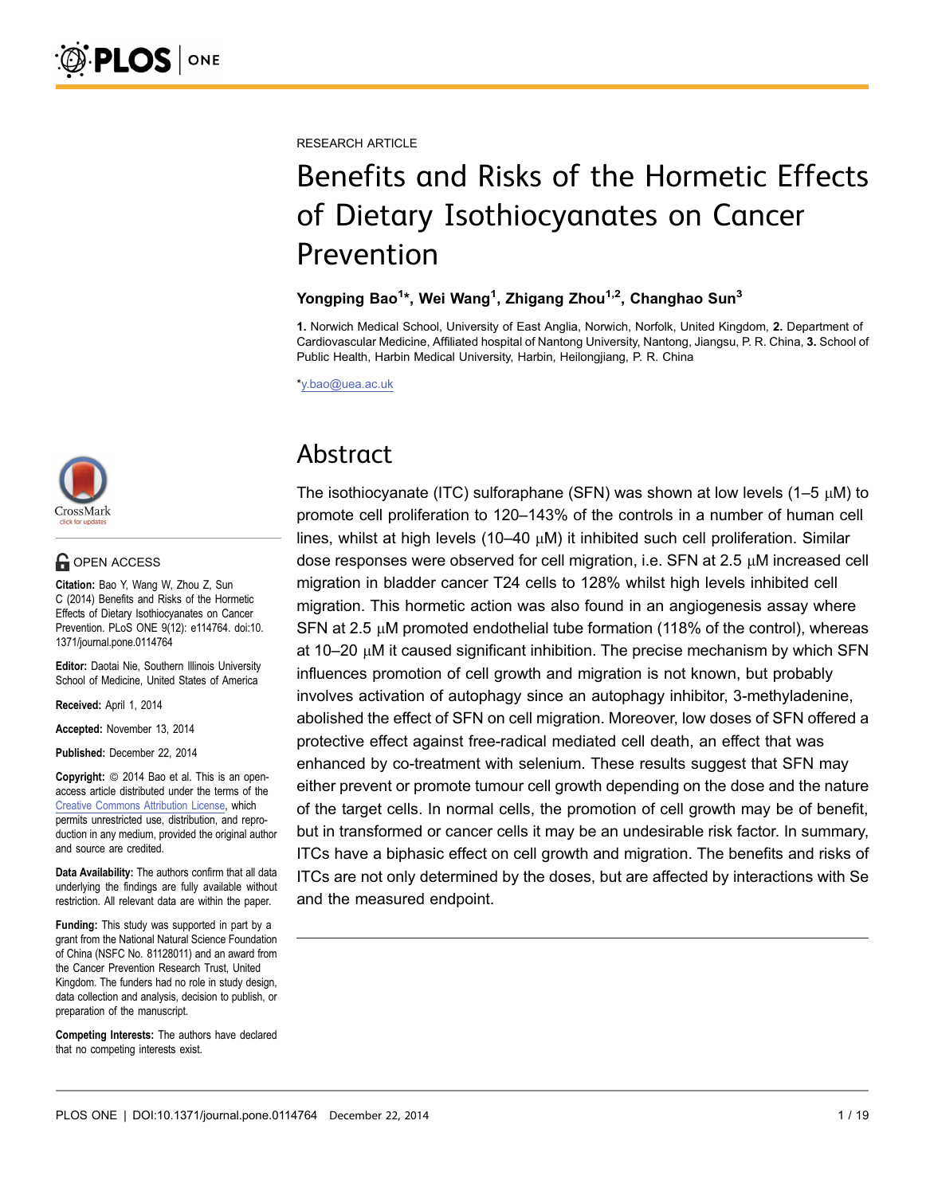CrossMark

#### **OPEN ACCESS**

Citation: Bao Y, Wang W, Zhou Z, Sun C (2014) Benefits and Risks of the Hormetic Effects of Dietary Isothiocyanates on Cancer Prevention. PLoS ONE 9(12): e114764. doi:10. 1371/journal.pone.0114764

Editor: Daotai Nie, Southern Illinois University School of Medicine, United States of America

Received: April 1, 2014

Accepted: November 13, 2014

Published: December 22, 2014

**Copyright:** © 2014 Bao et al. This is an openaccess article distributed under the terms of the [Creative Commons Attribution License,](http://creativecommons.org/licenses/by/4.0/) which permits unrestricted use, distribution, and reproduction in any medium, provided the original author and source are credited.

Data Availability: The authors confirm that all data underlying the findings are fully available without restriction. All relevant data are within the paper.

Funding: This study was supported in part by a grant from the National Natural Science Foundation of China (NSFC No. 81128011) and an award from the Cancer Prevention Research Trust, United Kingdom. The funders had no role in study design, data collection and analysis, decision to publish, or preparation of the manuscript.

Competing Interests: The authors have declared that no competing interests exist.

RESEARCH ARTICLE

# Benefits and Risks of the Hormetic Effects of Dietary Isothiocyanates on Cancer Prevention

#### Yongping Bao<sup>1\*</sup>, Wei Wang<sup>1</sup>, Zhigang Zhou<sup>1,2</sup>, Changhao Sun<sup>3</sup>

1. Norwich Medical School, University of East Anglia, Norwich, Norfolk, United Kingdom, 2. Department of Cardiovascular Medicine, Affiliated hospital of Nantong University, Nantong, Jiangsu, P. R. China, 3. School of Public Health, Harbin Medical University, Harbin, Heilongjiang, P. R. China

\*y.bao@uea.ac.uk

# Abstract

The isothiocyanate (ITC) sulforaphane (SFN) was shown at low levels (1–5  $\mu$ M) to promote cell proliferation to 120–143% of the controls in a number of human cell lines, whilst at high levels (10–40  $\mu$ M) it inhibited such cell proliferation. Similar dose responses were observed for cell migration, i.e. SFN at 2.5  $\mu$ M increased cell migration in bladder cancer T24 cells to 128% whilst high levels inhibited cell migration. This hormetic action was also found in an angiogenesis assay where SFN at 2.5  $\mu$ M promoted endothelial tube formation (118% of the control), whereas at 10–20  $\mu$ M it caused significant inhibition. The precise mechanism by which SFN influences promotion of cell growth and migration is not known, but probably involves activation of autophagy since an autophagy inhibitor, 3-methyladenine, abolished the effect of SFN on cell migration. Moreover, low doses of SFN offered a protective effect against free-radical mediated cell death, an effect that was enhanced by co-treatment with selenium. These results suggest that SFN may either prevent or promote tumour cell growth depending on the dose and the nature of the target cells. In normal cells, the promotion of cell growth may be of benefit, but in transformed or cancer cells it may be an undesirable risk factor. In summary, ITCs have a biphasic effect on cell growth and migration. The benefits and risks of ITCs are not only determined by the doses, but are affected by interactions with Se and the measured endpoint.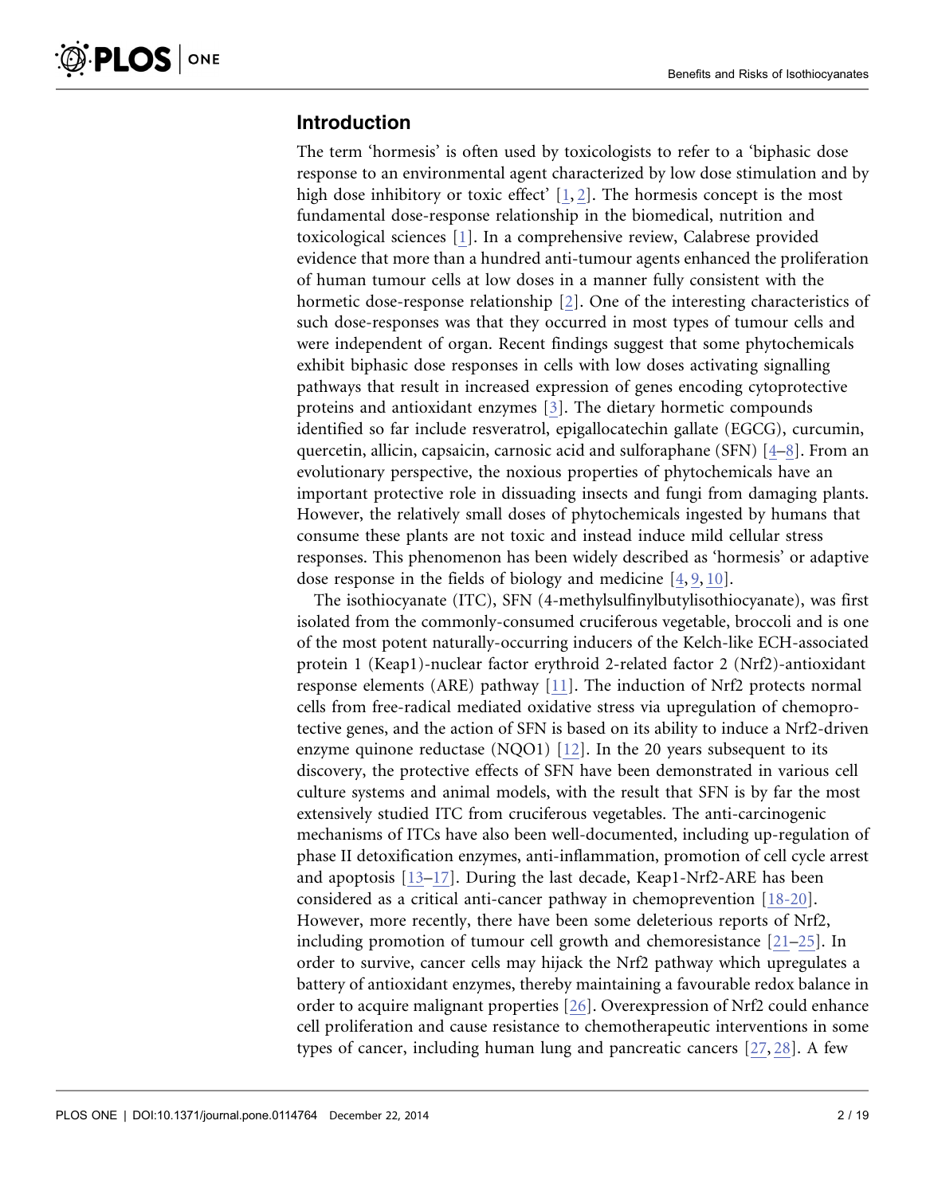# Introduction

The term 'hormesis' is often used by toxicologists to refer to a 'biphasic dose response to an environmental agent characterized by low dose stimulation and by high dose inhibitory or toxic effect'  $[1, 2]$ . The hormesis concept is the most fundamental dose-response relationship in the biomedical, nutrition and toxicological sciences [\[1\]](#page-14-0). In a comprehensive review, Calabrese provided evidence that more than a hundred anti-tumour agents enhanced the proliferation of human tumour cells at low doses in a manner fully consistent with the hormetic dose-response relationship [\[2\].](#page-14-0) One of the interesting characteristics of such dose-responses was that they occurred in most types of tumour cells and were independent of organ. Recent findings suggest that some phytochemicals exhibit biphasic dose responses in cells with low doses activating signalling pathways that result in increased expression of genes encoding cytoprotective proteins and antioxidant enzymes [\[3\]](#page-14-0). The dietary hormetic compounds identified so far include resveratrol, epigallocatechin gallate (EGCG), curcumin, quercetin, allicin, capsaicin, carnosic acid and sulforaphane (SFN) [\[4–8\].](#page-14-0) From an evolutionary perspective, the noxious properties of phytochemicals have an important protective role in dissuading insects and fungi from damaging plants. However, the relatively small doses of phytochemicals ingested by humans that consume these plants are not toxic and instead induce mild cellular stress responses. This phenomenon has been widely described as 'hormesis' or adaptive dose response in the fields of biology and medicine [\[4,](#page-14-0) [9,](#page-14-0) [10\].](#page-14-0)

The isothiocyanate (ITC), SFN (4-methylsulfinylbutylisothiocyanate), was first isolated from the commonly-consumed cruciferous vegetable, broccoli and is one of the most potent naturally-occurring inducers of the Kelch-like ECH-associated protein 1 (Keap1)-nuclear factor erythroid 2-related factor 2 (Nrf2)-antioxidant response elements (ARE) pathway [\[11\].](#page-14-0) The induction of Nrf2 protects normal cells from free-radical mediated oxidative stress via upregulation of chemoprotective genes, and the action of SFN is based on its ability to induce a Nrf2-driven enzyme quinone reductase (NQO1) [\[12\].](#page-14-0) In the 20 years subsequent to its discovery, the protective effects of SFN have been demonstrated in various cell culture systems and animal models, with the result that SFN is by far the most extensively studied ITC from cruciferous vegetables. The anti-carcinogenic mechanisms of ITCs have also been well-documented, including up-regulation of phase II detoxification enzymes, anti-inflammation, promotion of cell cycle arrest and apoptosis [\[13–17\]](#page-14-0). During the last decade, Keap1-Nrf2-ARE has been considered as a critical anti-cancer pathway in chemoprevention [\[18-20\]](#page-15-0). However, more recently, there have been some deleterious reports of Nrf2, including promotion of tumour cell growth and chemoresistance [\[21–25\]](#page-15-0). In order to survive, cancer cells may hijack the Nrf2 pathway which upregulates a battery of antioxidant enzymes, thereby maintaining a favourable redox balance in order to acquire malignant properties [\[26\]](#page-15-0). Overexpression of Nrf2 could enhance cell proliferation and cause resistance to chemotherapeutic interventions in some types of cancer, including human lung and pancreatic cancers [\[27,](#page-15-0) [28\]](#page-15-0). A few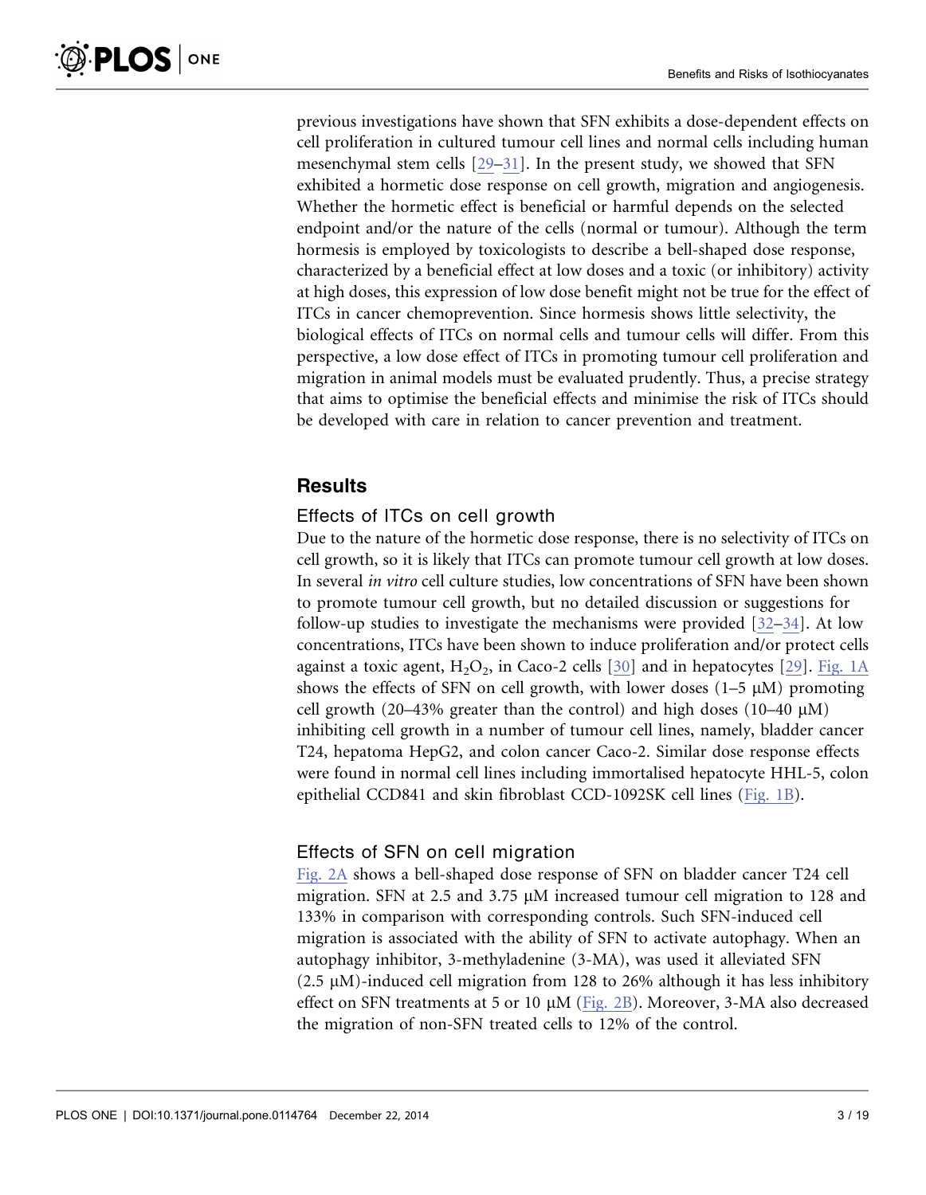previous investigations have shown that SFN exhibits a dose-dependent effects on cell proliferation in cultured tumour cell lines and normal cells including human mesenchymal stem cells [\[29–31\].](#page-15-0) In the present study, we showed that SFN exhibited a hormetic dose response on cell growth, migration and angiogenesis. Whether the hormetic effect is beneficial or harmful depends on the selected endpoint and/or the nature of the cells (normal or tumour). Although the term hormesis is employed by toxicologists to describe a bell-shaped dose response, characterized by a beneficial effect at low doses and a toxic (or inhibitory) activity at high doses, this expression of low dose benefit might not be true for the effect of ITCs in cancer chemoprevention. Since hormesis shows little selectivity, the biological effects of ITCs on normal cells and tumour cells will differ. From this perspective, a low dose effect of ITCs in promoting tumour cell proliferation and migration in animal models must be evaluated prudently. Thus, a precise strategy that aims to optimise the beneficial effects and minimise the risk of ITCs should be developed with care in relation to cancer prevention and treatment.

# **Results**

# Effects of ITCs on cell growth

Due to the nature of the hormetic dose response, there is no selectivity of ITCs on cell growth, so it is likely that ITCs can promote tumour cell growth at low doses. In several in vitro cell culture studies, low concentrations of SFN have been shown to promote tumour cell growth, but no detailed discussion or suggestions for follow-up studies to investigate the mechanisms were provided [\[32–34\]](#page-15-0). At low concentrations, ITCs have been shown to induce proliferation and/or protect cells against a toxic agent,  $H_2O_2$ , in Caco-2 cells [\[30\]](#page-15-0) and in hepatocytes [\[29\].](#page-15-0) [Fig. 1A](#page-3-0) shows the effects of SFN on cell growth, with lower doses  $(1-5 \mu M)$  promoting cell growth (20–43% greater than the control) and high doses (10–40  $\mu$ M) inhibiting cell growth in a number of tumour cell lines, namely, bladder cancer T24, hepatoma HepG2, and colon cancer Caco-2. Similar dose response effects were found in normal cell lines including immortalised hepatocyte HHL-5, colon epithelial CCD841 and skin fibroblast CCD-1092SK cell lines [\(Fig. 1B](#page-3-0)).

# Effects of SFN on cell migration

[Fig. 2A](#page-3-0) shows a bell-shaped dose response of SFN on bladder cancer T24 cell migration. SFN at 2.5 and 3.75  $\mu$ M increased tumour cell migration to 128 and 133% in comparison with corresponding controls. Such SFN-induced cell migration is associated with the ability of SFN to activate autophagy. When an autophagy inhibitor, 3-methyladenine (3-MA), was used it alleviated SFN  $(2.5 \mu M)$ -induced cell migration from 128 to 26% although it has less inhibitory effect on SFN treatments at 5 or 10  $\mu$ M [\(Fig. 2B](#page-3-0)). Moreover, 3-MA also decreased the migration of non-SFN treated cells to 12% of the control.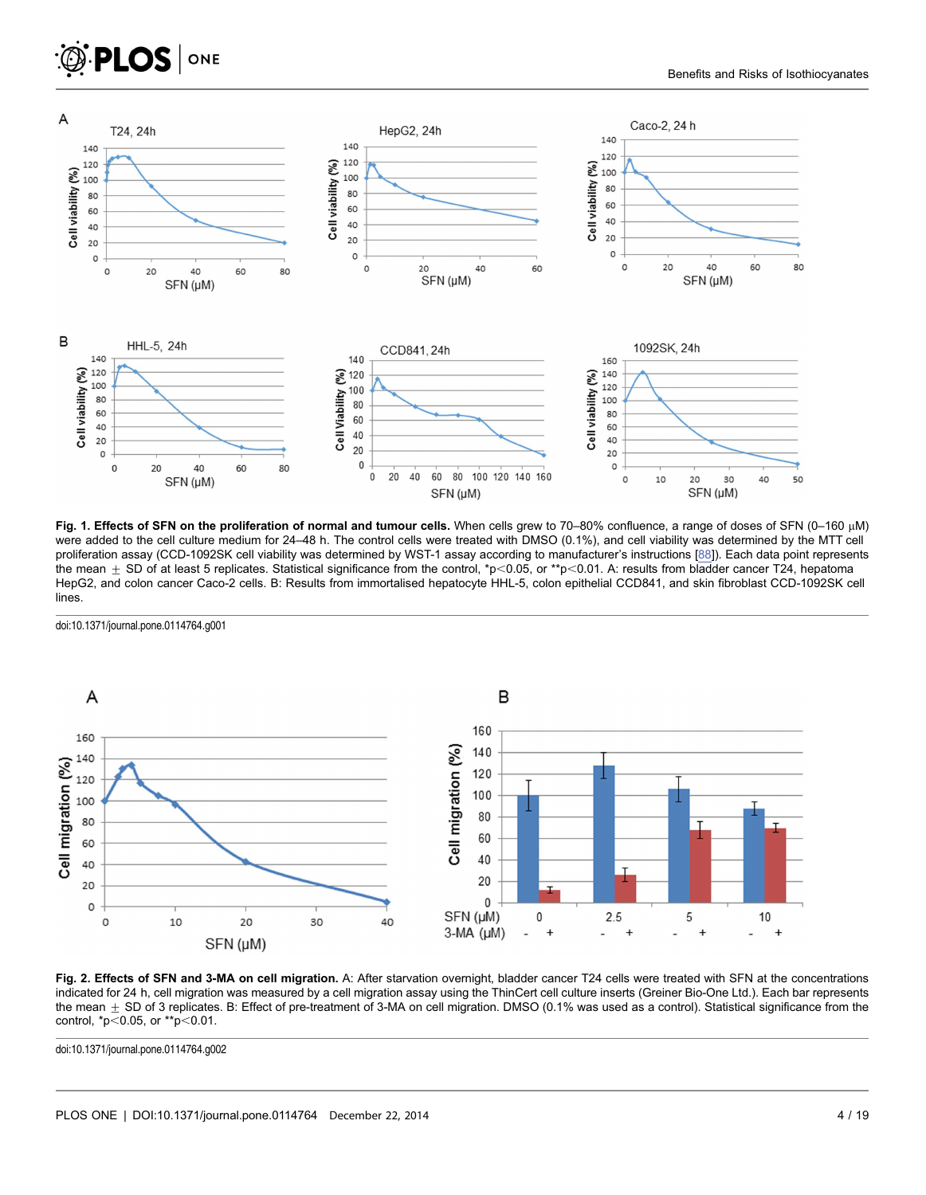<span id="page-3-0"></span>

Fig. 1. Effects of SFN on the proliferation of normal and tumour cells. When cells grew to 70–80% confluence, a range of doses of SFN (0–160 µM) were added to the cell culture medium for 24–48 h. The control cells were treated with DMSO (0.1%), and cell viability was determined by the MTT cell proliferation assay (CCD-1092SK cell viability was determined by WST-1 assay according to manufacturer's instructions [\[88\]\)](#page-18-0). Each data point represents the mean  $\pm$  SD of at least 5 replicates. Statistical significance from the control, \*p<0.05, or \*\*p<0.01. A: results from bladder cancer T24, hepatoma HepG2, and colon cancer Caco-2 cells. B: Results from immortalised hepatocyte HHL-5, colon epithelial CCD841, and skin fibroblast CCD-1092SK cell lines.

doi:10.1371/journal.pone.0114764.g001



Fig. 2. Effects of SFN and 3-MA on cell migration. A: After starvation overnight, bladder cancer T24 cells were treated with SFN at the concentrations indicated for 24 h, cell migration was measured by a cell migration assay using the ThinCert cell culture inserts (Greiner Bio-One Ltd.). Each bar represents the mean  $\pm$  SD of 3 replicates. B: Effect of pre-treatment of 3-MA on cell migration. DMSO (0.1% was used as a control). Statistical significance from the control, \*p<0.05, or \*\*p<0.01.

doi:10.1371/journal.pone.0114764.g002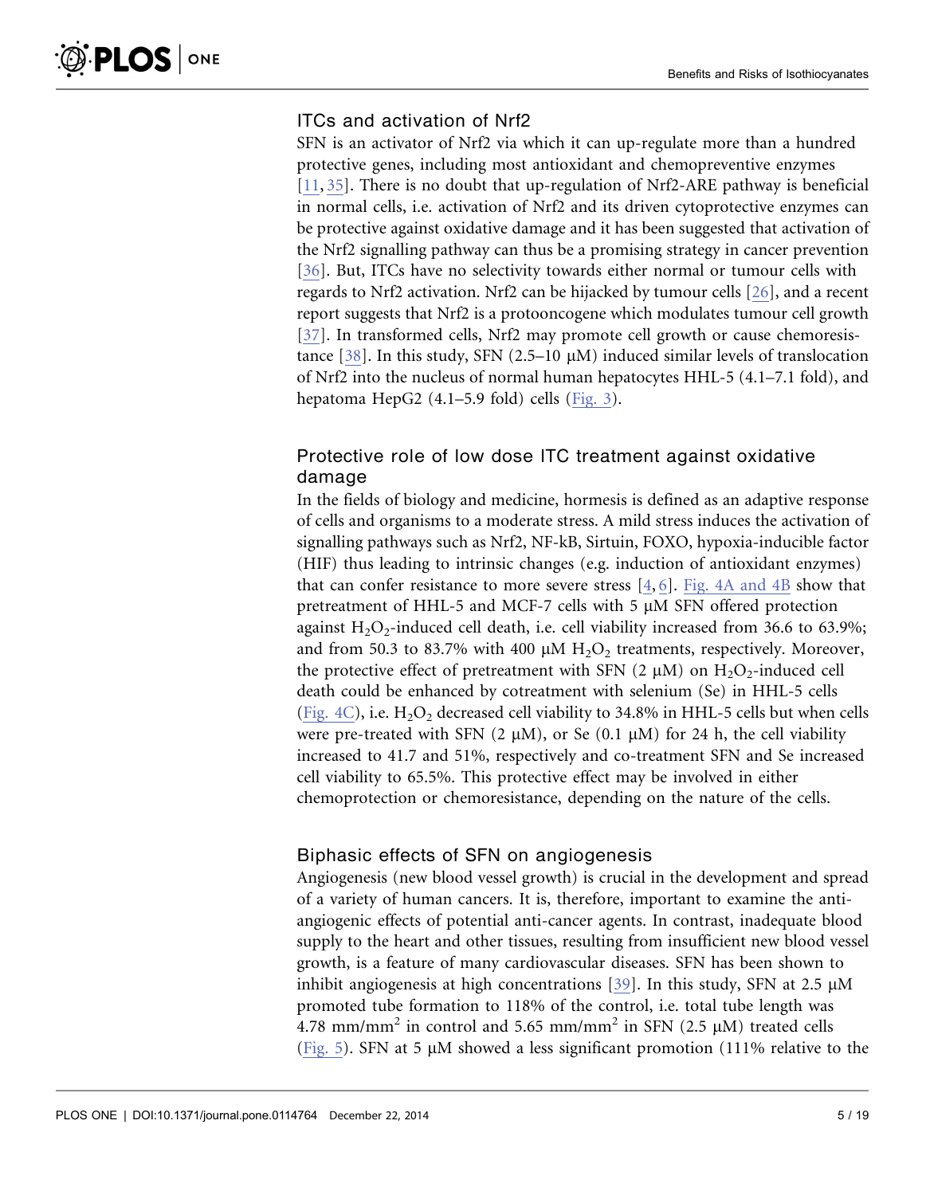# ITCs and activation of Nrf2

SFN is an activator of Nrf2 via which it can up-regulate more than a hundred protective genes, including most antioxidant and chemopreventive enzymes [\[11,](#page-14-0) [35](#page-15-0)[\]](#page-14-0). There is no doubt that up-regulation of Nrf2-ARE pathway is beneficial in normal cells, i.e. activation of Nrf2 and its driven cytoprotective enzymes can be protective against oxidative damage and it has been suggested that activation of the Nrf2 signalling pathway can thus be a promising strategy in cancer prevention [\[36\].](#page-15-0) But, ITCs have no selectivity towards either normal or tumour cells with regards to Nrf2 activation. Nrf2 can be hijacked by tumour cells [\[26\],](#page-15-0) and a recent report suggests that Nrf2 is a protooncogene which modulates tumour cell growth [\[37\].](#page-15-0) In transformed cells, Nrf2 may promote cell growth or cause chemoresis-tance [\[38\]](#page-15-0). In this study, SFN (2.5–10  $\mu$ M) induced similar levels of translocation of Nrf2 into the nucleus of normal human hepatocytes HHL-5 (4.1–7.1 fold), and hepatoma HepG2 (4.1–5.9 fold) cells [\(Fig. 3\)](#page-5-0).

# Protective role of low dose ITC treatment against oxidative damage

In the fields of biology and medicine, hormesis is defined as an adaptive response of cells and organisms to a moderate stress. A mild stress induces the activation of signalling pathways such as Nrf2, NF-kB, Sirtuin, FOXO, hypoxia-inducible factor (HIF) thus leading to intrinsic changes (e.g. induction of antioxidant enzymes) that can confer resistance to more severe stress  $[4, 6]$ . [Fig. 4A and 4B](#page-5-0) show that pretreatment of HHL-5 and MCF-7 cells with 5  $\mu$ M SFN offered protection against  $H_2O_2$ -induced cell death, i.e. cell viability increased from 36.6 to 63.9%; and from 50.3 to 83.7% with 400  $\mu$ M H<sub>2</sub>O<sub>2</sub> treatments, respectively. Moreover, the protective effect of pretreatment with SFN  $(2 \mu M)$  on  $H_2O_2$ -induced cell death could be enhanced by cotreatment with selenium (Se) in HHL-5 cells ([Fig. 4C](#page-5-0)), i.e.  $H_2O_2$  decreased cell viability to 34.8% in HHL-5 cells but when cells were pre-treated with SFN (2  $\mu$ M), or Se (0.1  $\mu$ M) for 24 h, the cell viability increased to 41.7 and 51%, respectively and co-treatment SFN and Se increased cell viability to 65.5%. This protective effect may be involved in either chemoprotection or chemoresistance, depending on the nature of the cells.

# Biphasic effects of SFN on angiogenesis

Angiogenesis (new blood vessel growth) is crucial in the development and spread of a variety of human cancers. It is, therefore, important to examine the antiangiogenic effects of potential anti-cancer agents. In contrast, inadequate blood supply to the heart and other tissues, resulting from insufficient new blood vessel growth, is a feature of many cardiovascular diseases. SFN has been shown to inhibit angiogenesis at high concentrations [\[39\]](#page-15-0). In this study, SFN at 2.5  $\mu$ M promoted tube formation to 118% of the control, i.e. total tube length was 4.78 mm/mm<sup>2</sup> in control and 5.65 mm/mm<sup>2</sup> in SFN (2.5  $\mu$ M) treated cells ([Fig. 5\)](#page-6-0). SFN at 5  $\mu$ M showed a less significant promotion (111% relative to the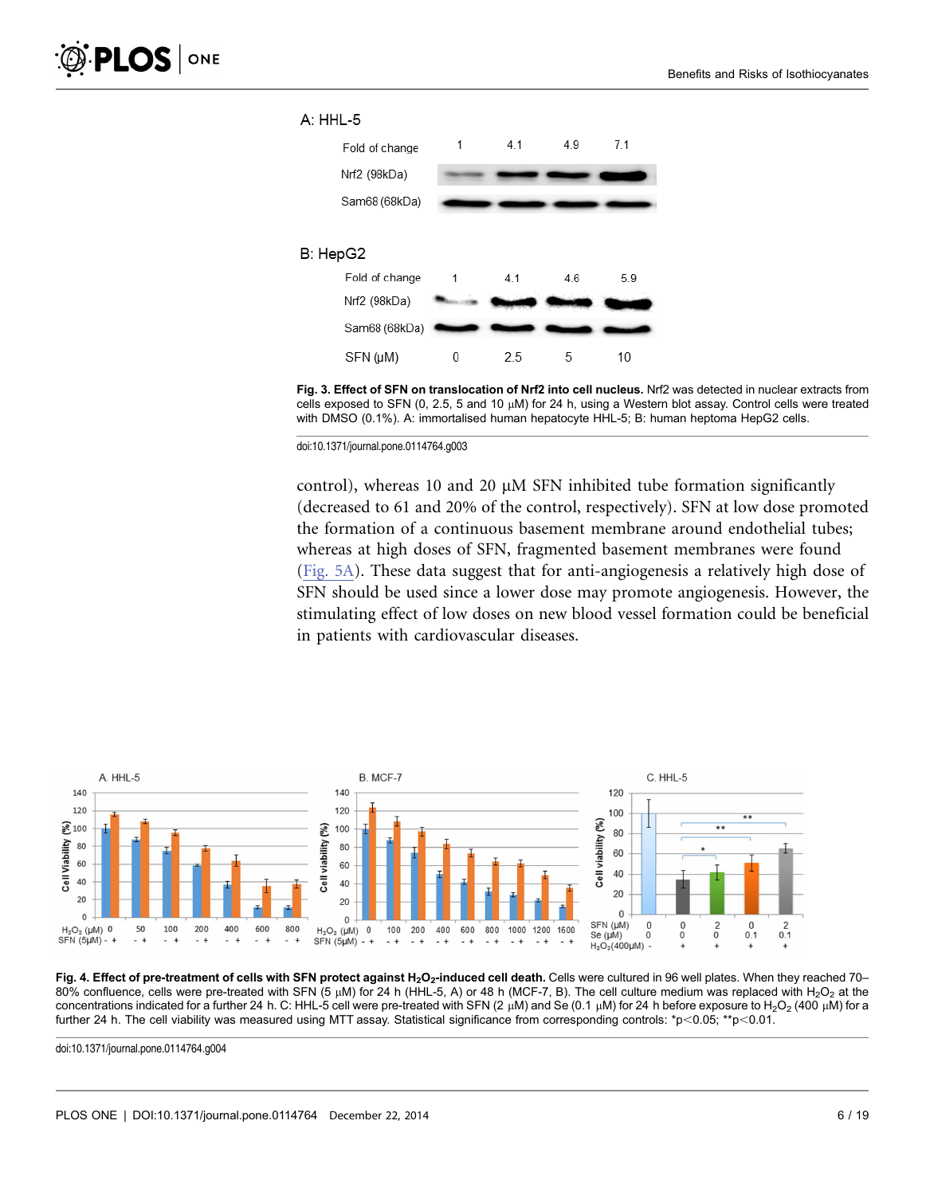<span id="page-5-0"></span>

Fig. 3. Effect of SFN on translocation of Nrf2 into cell nucleus. Nrf2 was detected in nuclear extracts from cells exposed to SFN (0, 2.5, 5 and 10  $\mu$ M) for 24 h, using a Western blot assay. Control cells were treated with DMSO (0.1%). A: immortalised human hepatocyte HHL-5; B: human heptoma HepG2 cells.

doi:10.1371/journal.pone.0114764.g003

control), whereas 10 and 20  $\mu$ M SFN inhibited tube formation significantly (decreased to 61 and 20% of the control, respectively). SFN at low dose promoted the formation of a continuous basement membrane around endothelial tubes; whereas at high doses of SFN, fragmented basement membranes were found ([Fig. 5A](#page-6-0)). These data suggest that for anti-angiogenesis a relatively high dose of SFN should be used since a lower dose may promote angiogenesis. However, the stimulating effect of low doses on new blood vessel formation could be beneficial in patients with cardiovascular diseases.



Fig. 4. Effect of pre-treatment of cells with SFN protect against H<sub>2</sub>O<sub>2</sub>-induced cell death. Cells were cultured in 96 well plates. When they reached 70– 80% confluence, cells were pre-treated with SFN (5 µM) for 24 h (HHL-5, A) or 48 h (MCF-7, B). The cell culture medium was replaced with H<sub>2</sub>O<sub>2</sub> at the concentrations indicated for a further 24 h. C: HHL-5 cell were pre-treated with SFN (2 µM) and Se (0.1 µM) for 24 h before exposure to H<sub>2</sub>O<sub>2</sub> (400 µM) for a further 24 h. The cell viability was measured using MTT assay. Statistical significance from corresponding controls: \*p<0.05; \*\*p<0.01.

doi:10.1371/journal.pone.0114764.g004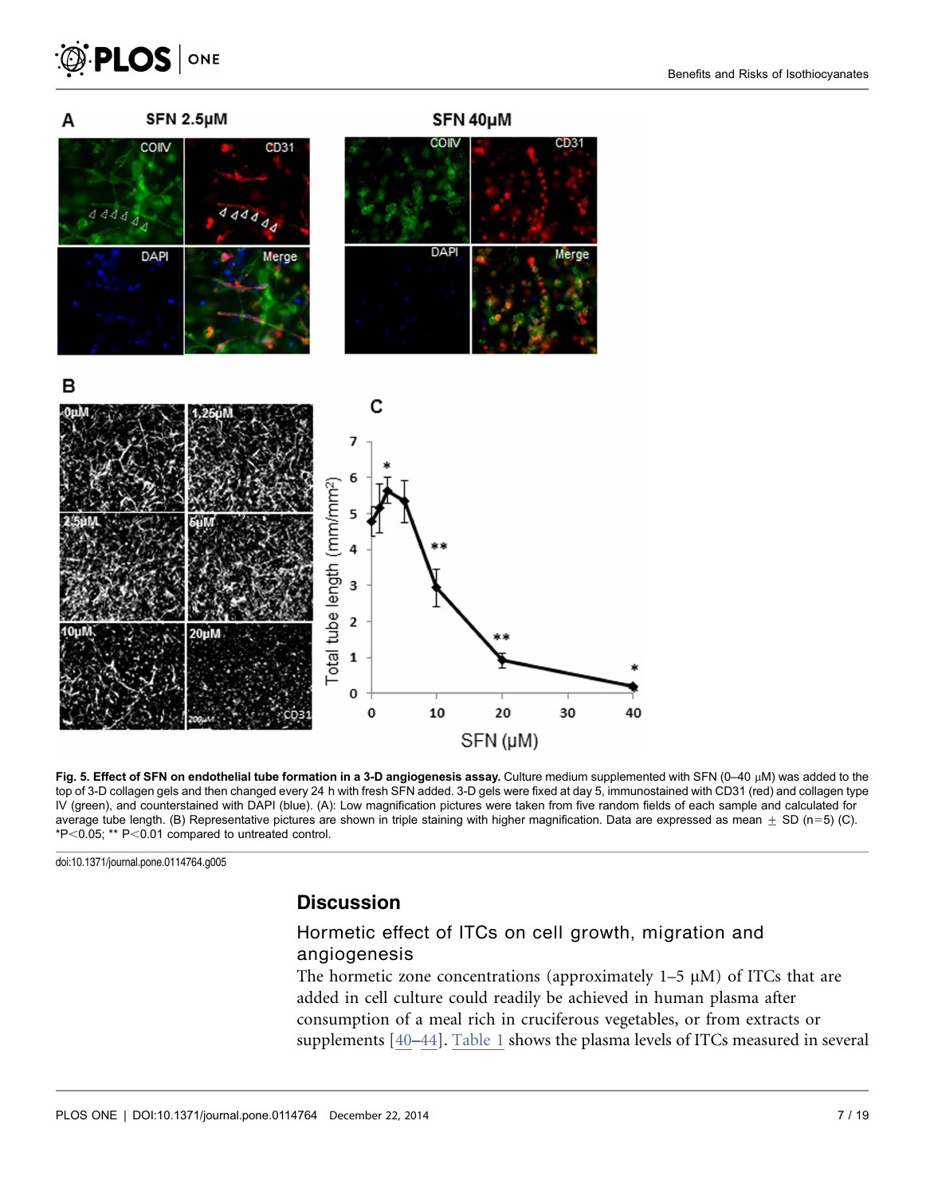<span id="page-6-0"></span>

Fig. 5. Effect of SFN on endothelial tube formation in a 3-D angiogenesis assay. Culture medium supplemented with SFN (0-40 µM) was added to the top of 3-D collagen gels and then changed every 24 h with fresh SFN added. 3-D gels were fixed at day 5, immunostained with CD31 (red) and collagen type IV (green), and counterstained with DAPI (blue). (A): Low magnification pictures were taken from five random fields of each sample and calculated for average tube length. (B) Representative pictures are shown in triple staining with higher magnification. Data are expressed as mean  $\pm$  SD (n=5) (C).  $*P<0.05$ ;  $**$  P $<$ 0.01 compared to untreated control.

doi:10.1371/journal.pone.0114764.g005

### **Discussion**

### Hormetic effect of ITCs on cell growth, migration and angiogenesis

The hormetic zone concentrations (approximately  $1-5 \mu M$ ) of ITCs that are added in cell culture could readily be achieved in human plasma after consumption of a meal rich in cruciferous vegetables, or from extracts or supplements [\[40–](#page-15-0)[44](#page-16-0)[\].](#page-15-0) [Table 1](#page-7-0) shows the plasma levels of ITCs measured in several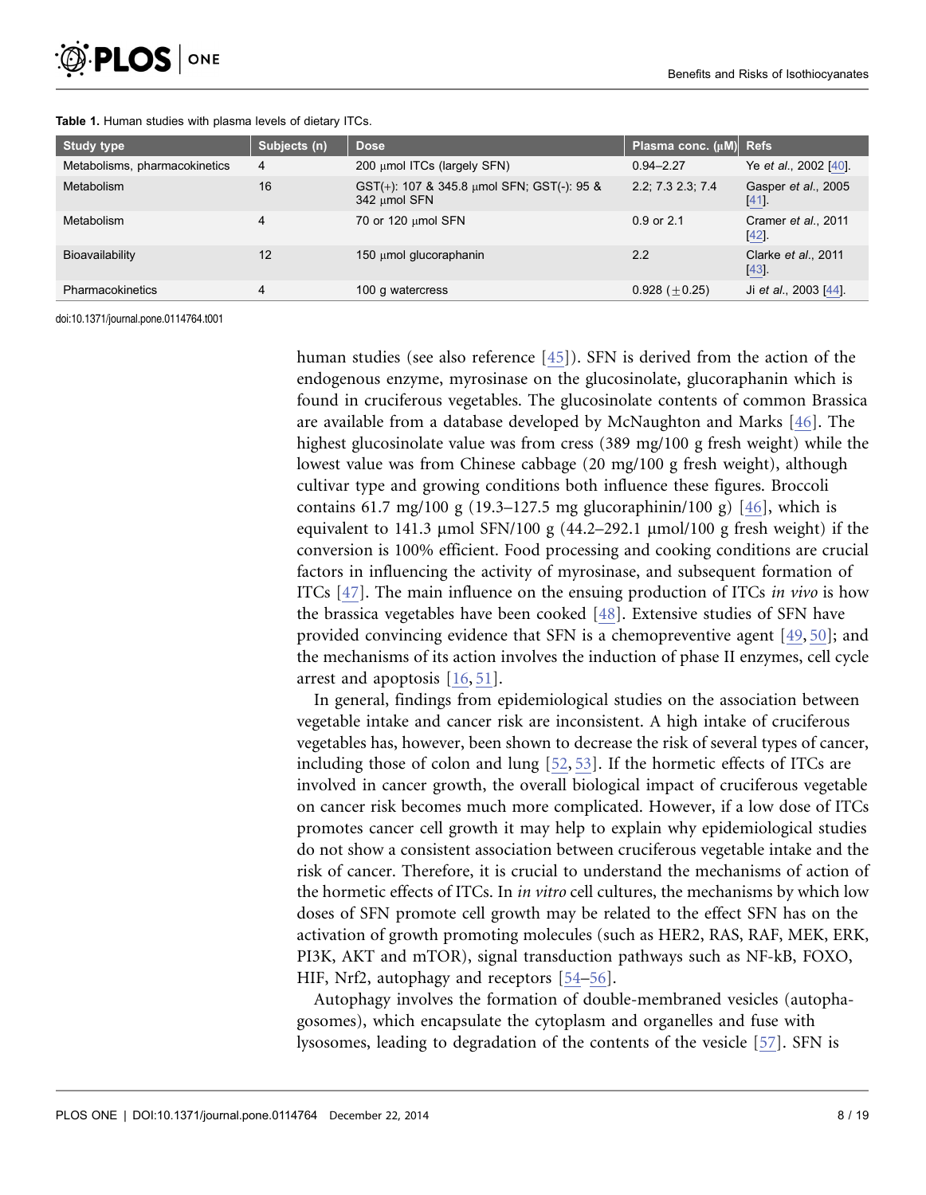| <b>Study type</b>             | Subjects (n) | <b>Dose</b>                                                | Plasma conc. $(\mu M)$ Refs |                               |
|-------------------------------|--------------|------------------------------------------------------------|-----------------------------|-------------------------------|
| Metabolisms, pharmacokinetics | 4            | 200 $\mu$ mol ITCs (largely SFN)                           | $0.94 - 2.27$               | Ye <i>et al.</i> , 2002 [40]. |
| Metabolism                    | 16           | GST(+): 107 & 345.8 µmol SFN; GST(-): 95 &<br>342 µmol SFN | 2.2; 7.3 2.3; 7.4           | Gasper et al., 2005<br>41]    |
| Metabolism                    | 4            | 70 or 120 $\mu$ mol SFN                                    | $0.9$ or $2.1$              | Cramer et al., 2011<br>$[42]$ |
| Bioavailability               | 12           | 150 µmol glucoraphanin                                     | 2.2                         | Clarke et al., 2011<br>$[43]$ |
| Pharmacokinetics              | 4            | 100 g watercress                                           | 0.928 ( $\pm$ 0.25)         | Ji et al., 2003 [44].         |

#### <span id="page-7-0"></span>Table 1. Human studies with plasma levels of dietary ITCs.

doi:10.1371/journal.pone.0114764.t001

human studies (see also reference [\[45\]](#page-16-0)). SFN is derived from the action of the endogenous enzyme, myrosinase on the glucosinolate, glucoraphanin which is found in cruciferous vegetables. The glucosinolate contents of common Brassica are available from a database developed by McNaughton and Marks [\[46\]](#page-16-0). The highest glucosinolate value was from cress (389 mg/100 g fresh weight) while the lowest value was from Chinese cabbage (20 mg/100 g fresh weight), although cultivar type and growing conditions both influence these figures. Broccoli contains 61.7 mg/100 g (19.3–127.5 mg glucoraphinin/100 g) [\[46\]](#page-16-0), which is equivalent to 141.3 µmol SFN/100 g  $(44.2–292.1 \text{ µmol}/100 \text{ g}$  fresh weight) if the conversion is 100% efficient. Food processing and cooking conditions are crucial factors in influencing the activity of myrosinase, and subsequent formation of ITCs  $[47]$ . The main influence on the ensuing production of ITCs *in vivo* is how the brassica vegetables have been cooked [\[48\]](#page-16-0). Extensive studies of SFN have provided convincing evidence that SFN is a chemopreventive agent [\[49,](#page-16-0) [50\]](#page-16-0); and the mechanisms of its action involves the induction of phase II enzymes, cell cycle arrest and apoptosis [\[16,](#page-14-0) [51](#page-16-0)[\]](#page-14-0).

In general, findings from epidemiological studies on the association between vegetable intake and cancer risk are inconsistent. A high intake of cruciferous vegetables has, however, been shown to decrease the risk of several types of cancer, including those of colon and lung [\[52,](#page-16-0) [53\].](#page-16-0) If the hormetic effects of ITCs are involved in cancer growth, the overall biological impact of cruciferous vegetable on cancer risk becomes much more complicated. However, if a low dose of ITCs promotes cancer cell growth it may help to explain why epidemiological studies do not show a consistent association between cruciferous vegetable intake and the risk of cancer. Therefore, it is crucial to understand the mechanisms of action of the hormetic effects of ITCs. In in vitro cell cultures, the mechanisms by which low doses of SFN promote cell growth may be related to the effect SFN has on the activation of growth promoting molecules (such as HER2, RAS, RAF, MEK, ERK, PI3K, AKT and mTOR), signal transduction pathways such as NF-kB, FOXO, HIF, Nrf2, autophagy and receptors [\[54–56\]](#page-16-0).

Autophagy involves the formation of double-membraned vesicles (autophagosomes), which encapsulate the cytoplasm and organelles and fuse with lysosomes, leading to degradation of the contents of the vesicle [\[57\].](#page-16-0) SFN is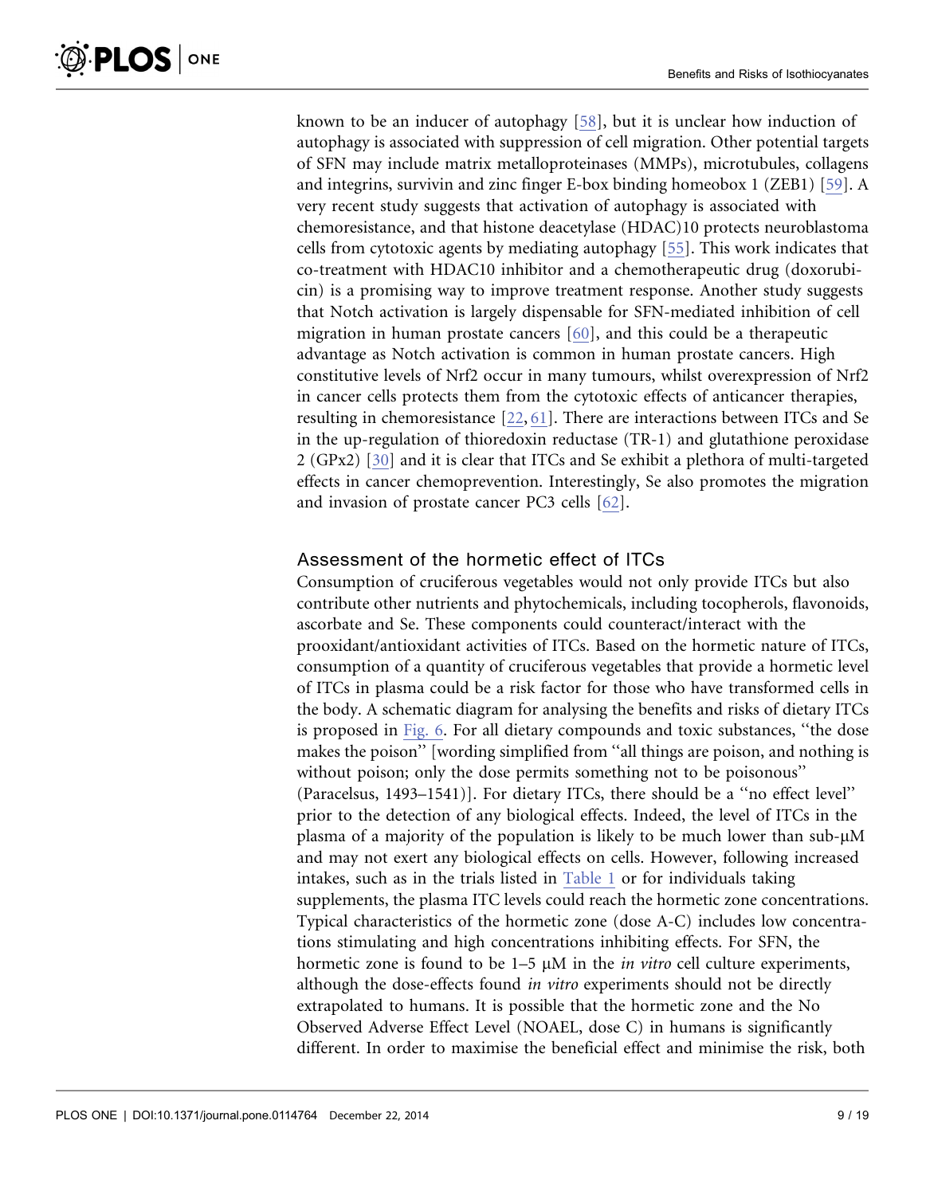known to be an inducer of autophagy [\[58\],](#page-16-0) but it is unclear how induction of autophagy is associated with suppression of cell migration. Other potential targets of SFN may include matrix metalloproteinases (MMPs), microtubules, collagens and integrins, survivin and zinc finger E-box binding homeobox 1 (ZEB1) [\[59\].](#page-16-0) A very recent study suggests that activation of autophagy is associated with chemoresistance, and that histone deacetylase (HDAC)10 protects neuroblastoma cells from cytotoxic agents by mediating autophagy [\[55\].](#page-16-0) This work indicates that co-treatment with HDAC10 inhibitor and a chemotherapeutic drug (doxorubicin) is a promising way to improve treatment response. Another study suggests that Notch activation is largely dispensable for SFN-mediated inhibition of cell migration in human prostate cancers [\[60\]](#page-16-0), and this could be a therapeutic advantage as Notch activation is common in human prostate cancers. High constitutive levels of Nrf2 occur in many tumours, whilst overexpression of Nrf2 in cancer cells protects them from the cytotoxic effects of anticancer therapies, resulting in chemoresistance [\[22,](#page-15-0) [61](#page-16-0)[\]](#page-15-0). There are interactions between ITCs and Se in the up-regulation of thioredoxin reductase (TR-1) and glutathione peroxidase 2 (GPx2) [\[30\]](#page-15-0) and it is clear that ITCs and Se exhibit a plethora of multi-targeted effects in cancer chemoprevention. Interestingly, Se also promotes the migration and invasion of prostate cancer PC3 cells [\[62\].](#page-16-0)

#### Assessment of the hormetic effect of ITCs

Consumption of cruciferous vegetables would not only provide ITCs but also contribute other nutrients and phytochemicals, including tocopherols, flavonoids, ascorbate and Se. These components could counteract/interact with the prooxidant/antioxidant activities of ITCs. Based on the hormetic nature of ITCs, consumption of a quantity of cruciferous vegetables that provide a hormetic level of ITCs in plasma could be a risk factor for those who have transformed cells in the body. A schematic diagram for analysing the benefits and risks of dietary ITCs is proposed in [Fig. 6](#page-9-0). For all dietary compounds and toxic substances, ''the dose makes the poison'' [wording simplified from ''all things are poison, and nothing is without poison; only the dose permits something not to be poisonous'' (Paracelsus, 1493–1541)]. For dietary ITCs, there should be a ''no effect level'' prior to the detection of any biological effects. Indeed, the level of ITCs in the plasma of a majority of the population is likely to be much lower than  $sub-\mu M$ and may not exert any biological effects on cells. However, following increased intakes, such as in the trials listed in [Table 1](#page-7-0) or for individuals taking supplements, the plasma ITC levels could reach the hormetic zone concentrations. Typical characteristics of the hormetic zone (dose A-C) includes low concentrations stimulating and high concentrations inhibiting effects. For SFN, the hormetic zone is found to be  $1-5 \mu M$  in the *in vitro* cell culture experiments, although the dose-effects found in vitro experiments should not be directly extrapolated to humans. It is possible that the hormetic zone and the No Observed Adverse Effect Level (NOAEL, dose C) in humans is significantly different. In order to maximise the beneficial effect and minimise the risk, both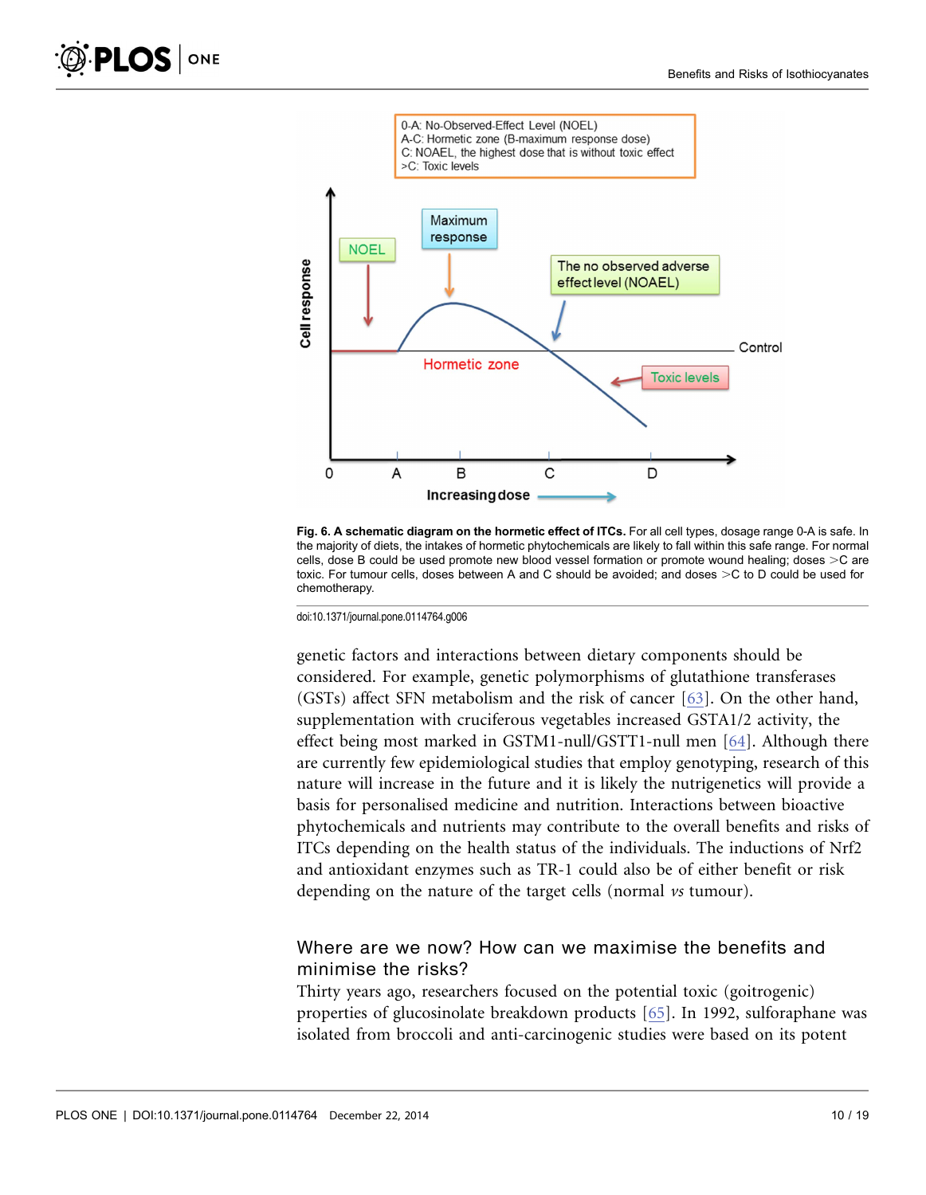<span id="page-9-0"></span>

Fig. 6. A schematic diagram on the hormetic effect of ITCs. For all cell types, dosage range 0-A is safe. In the majority of diets, the intakes of hormetic phytochemicals are likely to fall within this safe range. For normal cells, dose B could be used promote new blood vessel formation or promote wound healing; doses  $>$ C are toxic. For tumour cells, doses between A and C should be avoided; and doses  $>C$  to D could be used for chemotherapy.

doi:10.1371/journal.pone.0114764.g006

genetic factors and interactions between dietary components should be considered. For example, genetic polymorphisms of glutathione transferases (GSTs) affect SFN metabolism and the risk of cancer [\[63\].](#page-17-0) On the other hand, supplementation with cruciferous vegetables increased GSTA1/2 activity, the effect being most marked in GSTM1-null/GSTT1-null men [\[64\].](#page-17-0) Although there are currently few epidemiological studies that employ genotyping, research of this nature will increase in the future and it is likely the nutrigenetics will provide a basis for personalised medicine and nutrition. Interactions between bioactive phytochemicals and nutrients may contribute to the overall benefits and risks of ITCs depending on the health status of the individuals. The inductions of Nrf2 and antioxidant enzymes such as TR-1 could also be of either benefit or risk depending on the nature of the target cells (normal *vs* tumour).

#### Where are we now? How can we maximise the benefits and minimise the risks?

Thirty years ago, researchers focused on the potential toxic (goitrogenic) properties of glucosinolate breakdown products [\[65\]](#page-17-0). In 1992, sulforaphane was isolated from broccoli and anti-carcinogenic studies were based on its potent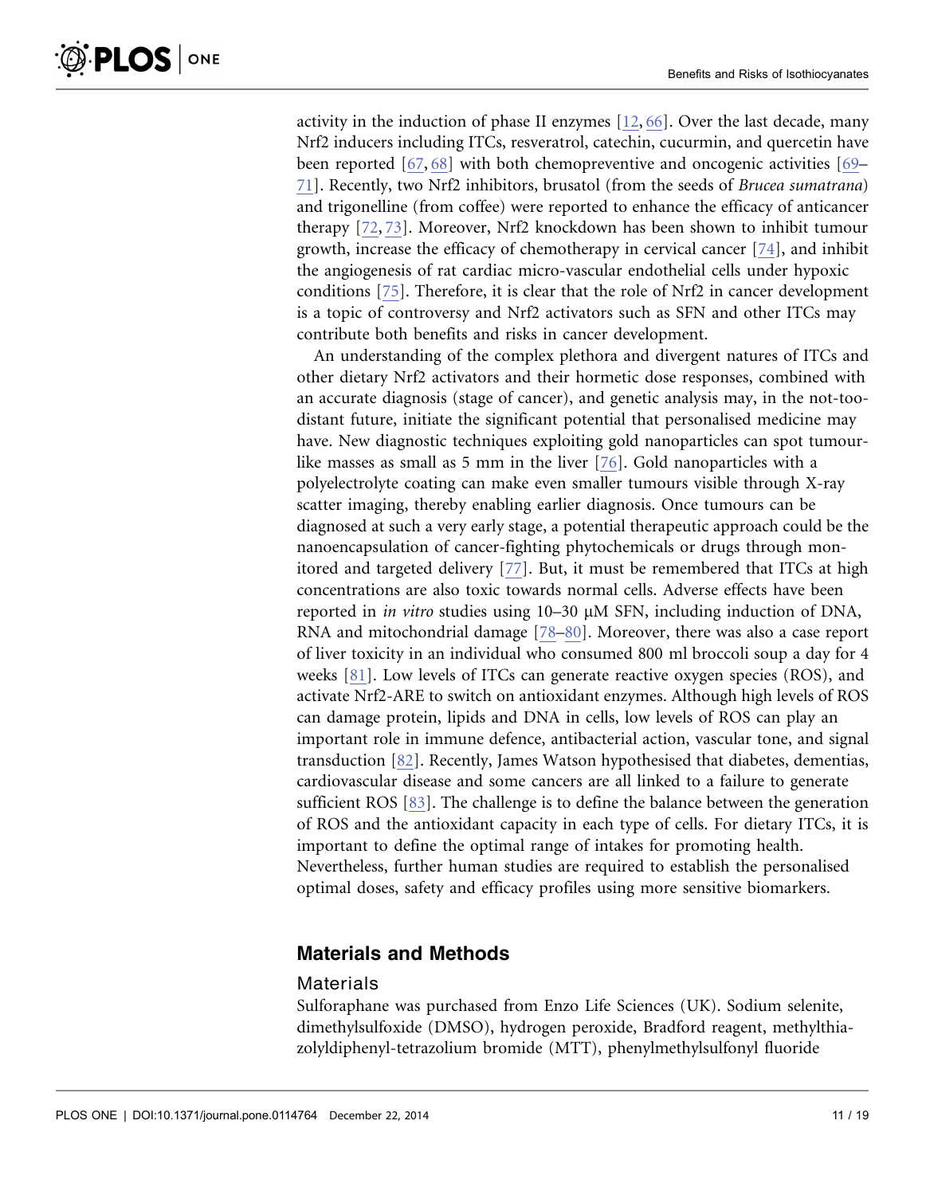activity in the induction of phase II enzymes [\[12,](#page-14-0) [66](#page-17-0)[\].](#page-14-0) Over the last decade, many Nrf2 inducers including ITCs, resveratrol, catechin, cucurmin, and quercetin have been reported [\[67,](#page-17-0) [68\]](#page-17-0) with both chemopreventive and oncogenic activities [\[69–](#page-17-0) [71\].](#page-17-0) Recently, two Nrf2 inhibitors, brusatol (from the seeds of Brucea sumatrana) and trigonelline (from coffee) were reported to enhance the efficacy of anticancer therapy [\[72,](#page-17-0) [73\]](#page-17-0). Moreover, Nrf2 knockdown has been shown to inhibit tumour growth, increase the efficacy of chemotherapy in cervical cancer  $[74]$ , and inhibit the angiogenesis of rat cardiac micro-vascular endothelial cells under hypoxic conditions [\[75\]](#page-17-0). Therefore, it is clear that the role of Nrf2 in cancer development is a topic of controversy and Nrf2 activators such as SFN and other ITCs may contribute both benefits and risks in cancer development.

An understanding of the complex plethora and divergent natures of ITCs and other dietary Nrf2 activators and their hormetic dose responses, combined with an accurate diagnosis (stage of cancer), and genetic analysis may, in the not-toodistant future, initiate the significant potential that personalised medicine may have. New diagnostic techniques exploiting gold nanoparticles can spot tumourlike masses as small as 5 mm in the liver [\[76\].](#page-17-0) Gold nanoparticles with a polyelectrolyte coating can make even smaller tumours visible through X-ray scatter imaging, thereby enabling earlier diagnosis. Once tumours can be diagnosed at such a very early stage, a potential therapeutic approach could be the nanoencapsulation of cancer-fighting phytochemicals or drugs through monitored and targeted delivery [\[77\].](#page-17-0) But, it must be remembered that ITCs at high concentrations are also toxic towards normal cells. Adverse effects have been reported in *in vitro* studies using 10–30 μM SFN, including induction of DNA, RNA and mitochondrial damage [\[78–80\].](#page-17-0) Moreover, there was also a case report of liver toxicity in an individual who consumed 800 ml broccoli soup a day for 4 weeks [\[81\].](#page-17-0) Low levels of ITCs can generate reactive oxygen species (ROS), and activate Nrf2-ARE to switch on antioxidant enzymes. Although high levels of ROS can damage protein, lipids and DNA in cells, low levels of ROS can play an important role in immune defence, antibacterial action, vascular tone, and signal transduction [\[82\].](#page-17-0) Recently, James Watson hypothesised that diabetes, dementias, cardiovascular disease and some cancers are all linked to a failure to generate sufficient ROS [\[83\].](#page-17-0) The challenge is to define the balance between the generation of ROS and the antioxidant capacity in each type of cells. For dietary ITCs, it is important to define the optimal range of intakes for promoting health. Nevertheless, further human studies are required to establish the personalised optimal doses, safety and efficacy profiles using more sensitive biomarkers.

### Materials and Methods

#### Materials

Sulforaphane was purchased from Enzo Life Sciences (UK). Sodium selenite, dimethylsulfoxide (DMSO), hydrogen peroxide, Bradford reagent, methylthiazolyldiphenyl-tetrazolium bromide (MTT), phenylmethylsulfonyl fluoride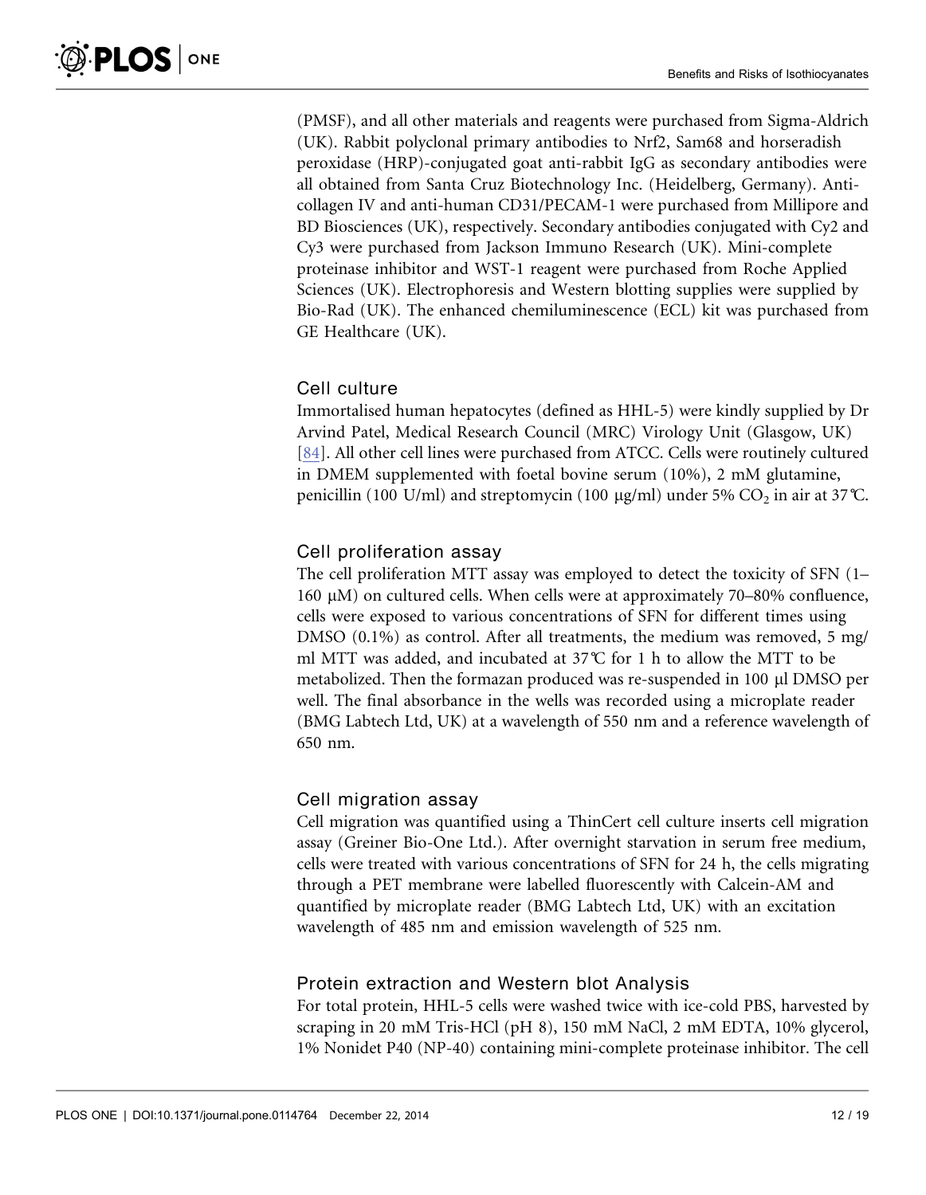(PMSF), and all other materials and reagents were purchased from Sigma-Aldrich (UK). Rabbit polyclonal primary antibodies to Nrf2, Sam68 and horseradish peroxidase (HRP)-conjugated goat anti-rabbit IgG as secondary antibodies were all obtained from Santa Cruz Biotechnology Inc. (Heidelberg, Germany). Anticollagen IV and anti-human CD31/PECAM-1 were purchased from Millipore and BD Biosciences (UK), respectively. Secondary antibodies conjugated with Cy2 and Cy3 were purchased from Jackson Immuno Research (UK). Mini-complete proteinase inhibitor and WST-1 reagent were purchased from Roche Applied Sciences (UK). Electrophoresis and Western blotting supplies were supplied by Bio-Rad (UK). The enhanced chemiluminescence (ECL) kit was purchased from GE Healthcare (UK).

## Cell culture

Immortalised human hepatocytes (defined as HHL-5) were kindly supplied by Dr Arvind Patel, Medical Research Council (MRC) Virology Unit (Glasgow, UK) [\[84\].](#page-17-0) All other cell lines were purchased from ATCC. Cells were routinely cultured in DMEM supplemented with foetal bovine serum (10%), 2 mM glutamine, penicillin (100 U/ml) and streptomycin (100  $\mu$ g/ml) under 5% CO<sub>2</sub> in air at 37°C.

# Cell proliferation assay

The cell proliferation MTT assay was employed to detect the toxicity of SFN (1– 160  $\mu$ M) on cultured cells. When cells were at approximately 70–80% confluence, cells were exposed to various concentrations of SFN for different times using DMSO (0.1%) as control. After all treatments, the medium was removed, 5 mg/ ml MTT was added, and incubated at 37℃ for 1 h to allow the MTT to be metabolized. Then the formazan produced was re-suspended in 100 µl DMSO per well. The final absorbance in the wells was recorded using a microplate reader (BMG Labtech Ltd, UK) at a wavelength of 550 nm and a reference wavelength of 650 nm.

### Cell migration assay

Cell migration was quantified using a ThinCert cell culture inserts cell migration assay (Greiner Bio-One Ltd.). After overnight starvation in serum free medium, cells were treated with various concentrations of SFN for 24 h, the cells migrating through a PET membrane were labelled fluorescently with Calcein-AM and quantified by microplate reader (BMG Labtech Ltd, UK) with an excitation wavelength of 485 nm and emission wavelength of 525 nm.

# Protein extraction and Western blot Analysis

For total protein, HHL-5 cells were washed twice with ice-cold PBS, harvested by scraping in 20 mM Tris-HCl (pH 8), 150 mM NaCl, 2 mM EDTA, 10% glycerol, 1% Nonidet P40 (NP-40) containing mini-complete proteinase inhibitor. The cell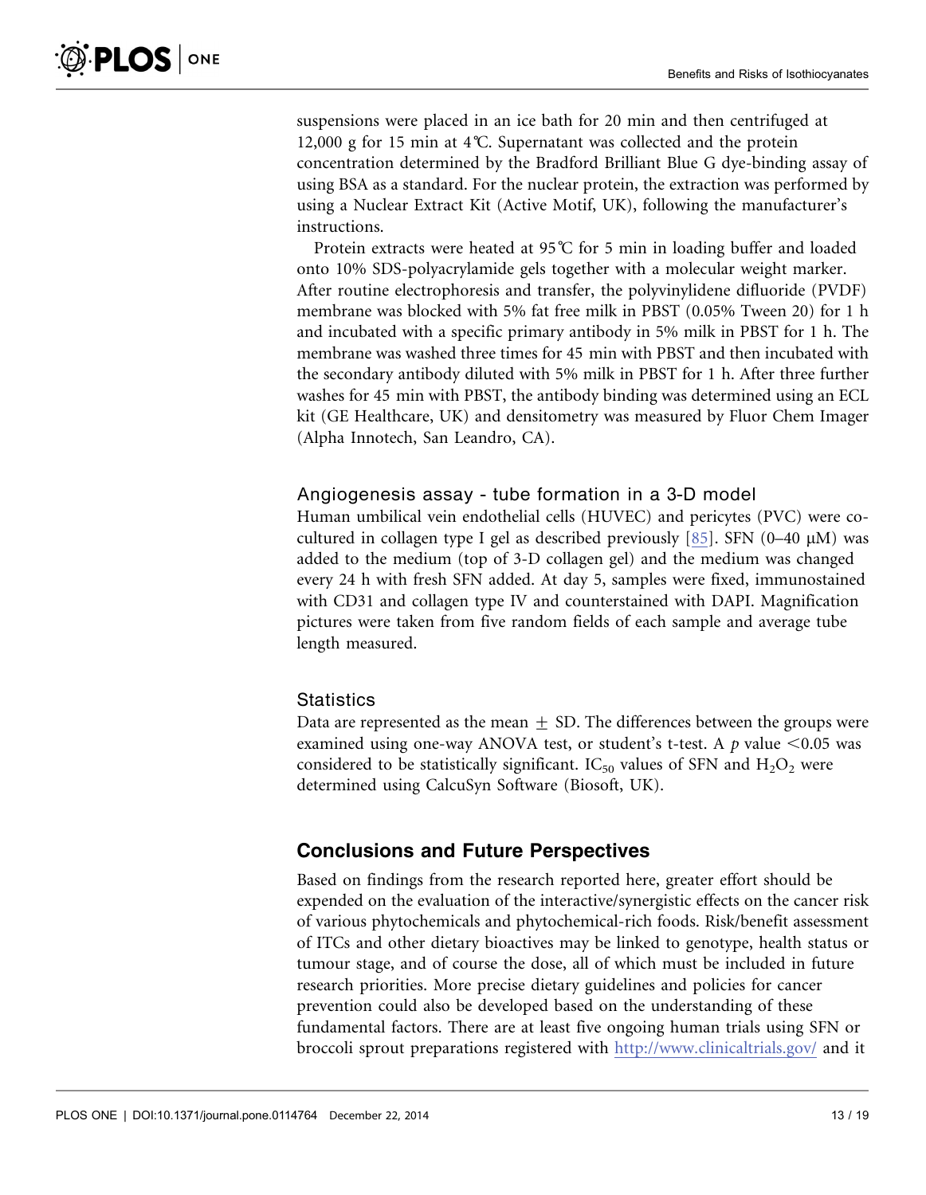suspensions were placed in an ice bath for 20 min and then centrifuged at 12,000 g for 15 min at  $4^{\circ}$ C. Supernatant was collected and the protein concentration determined by the Bradford Brilliant Blue G dye-binding assay of using BSA as a standard. For the nuclear protein, the extraction was performed by using a Nuclear Extract Kit (Active Motif, UK), following the manufacturer's instructions.

Protein extracts were heated at 95℃ for 5 min in loading buffer and loaded onto 10% SDS-polyacrylamide gels together with a molecular weight marker. After routine electrophoresis and transfer, the polyvinylidene difluoride (PVDF) membrane was blocked with 5% fat free milk in PBST (0.05% Tween 20) for 1 h and incubated with a specific primary antibody in 5% milk in PBST for 1 h. The membrane was washed three times for 45 min with PBST and then incubated with the secondary antibody diluted with 5% milk in PBST for 1 h. After three further washes for 45 min with PBST, the antibody binding was determined using an ECL kit (GE Healthcare, UK) and densitometry was measured by Fluor Chem Imager (Alpha Innotech, San Leandro, CA).

#### Angiogenesis assay - tube formation in a 3-D model

Human umbilical vein endothelial cells (HUVEC) and pericytes (PVC) were co-cultured in collagen type I gel as described previously [\[85\].](#page-18-0) SFN  $(0-40 \mu M)$  was added to the medium (top of 3-D collagen gel) and the medium was changed every 24 h with fresh SFN added. At day 5, samples were fixed, immunostained with CD31 and collagen type IV and counterstained with DAPI. Magnification pictures were taken from five random fields of each sample and average tube length measured.

### **Statistics**

Data are represented as the mean  $\pm$  SD. The differences between the groups were examined using one-way ANOVA test, or student's t-test. A  $p$  value <0.05 was considered to be statistically significant.  $IC_{50}$  values of SFN and  $H_2O_2$  were determined using CalcuSyn Software (Biosoft, UK).

# Conclusions and Future Perspectives

Based on findings from the research reported here, greater effort should be expended on the evaluation of the interactive/synergistic effects on the cancer risk of various phytochemicals and phytochemical-rich foods. Risk/benefit assessment of ITCs and other dietary bioactives may be linked to genotype, health status or tumour stage, and of course the dose, all of which must be included in future research priorities. More precise dietary guidelines and policies for cancer prevention could also be developed based on the understanding of these fundamental factors. There are at least five ongoing human trials using SFN or broccoli sprout preparations registered with <http://www.clinicaltrials.gov/> and it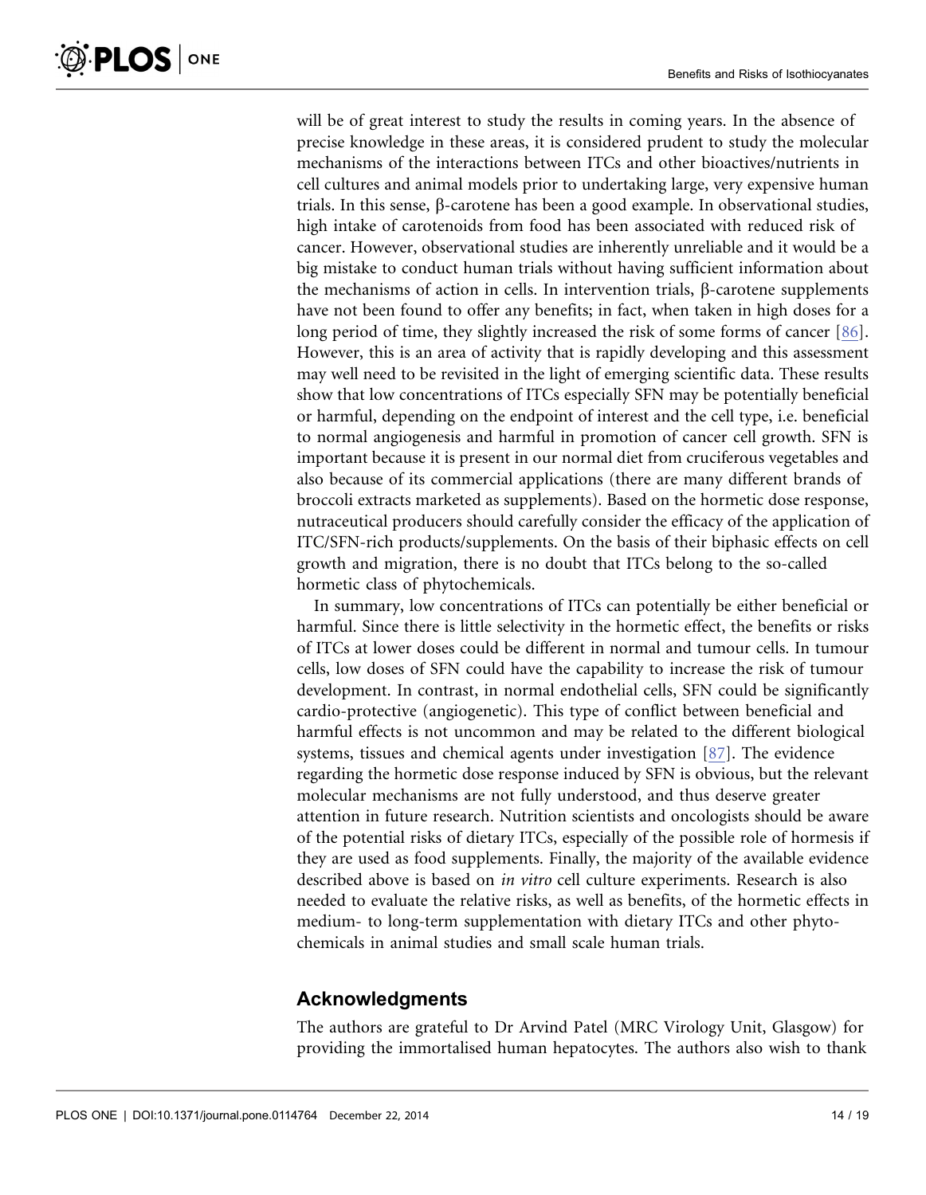will be of great interest to study the results in coming years. In the absence of precise knowledge in these areas, it is considered prudent to study the molecular mechanisms of the interactions between ITCs and other bioactives/nutrients in cell cultures and animal models prior to undertaking large, very expensive human trials. In this sense, b-carotene has been a good example. In observational studies, high intake of carotenoids from food has been associated with reduced risk of cancer. However, observational studies are inherently unreliable and it would be a big mistake to conduct human trials without having sufficient information about the mechanisms of action in cells. In intervention trials,  $\beta$ -carotene supplements have not been found to offer any benefits; in fact, when taken in high doses for a long period of time, they slightly increased the risk of some forms of cancer [\[86\]](#page-18-0). However, this is an area of activity that is rapidly developing and this assessment may well need to be revisited in the light of emerging scientific data. These results show that low concentrations of ITCs especially SFN may be potentially beneficial or harmful, depending on the endpoint of interest and the cell type, i.e. beneficial to normal angiogenesis and harmful in promotion of cancer cell growth. SFN is important because it is present in our normal diet from cruciferous vegetables and also because of its commercial applications (there are many different brands of broccoli extracts marketed as supplements). Based on the hormetic dose response, nutraceutical producers should carefully consider the efficacy of the application of ITC/SFN-rich products/supplements. On the basis of their biphasic effects on cell growth and migration, there is no doubt that ITCs belong to the so-called hormetic class of phytochemicals.

In summary, low concentrations of ITCs can potentially be either beneficial or harmful. Since there is little selectivity in the hormetic effect, the benefits or risks of ITCs at lower doses could be different in normal and tumour cells. In tumour cells, low doses of SFN could have the capability to increase the risk of tumour development. In contrast, in normal endothelial cells, SFN could be significantly cardio-protective (angiogenetic). This type of conflict between beneficial and harmful effects is not uncommon and may be related to the different biological systems, tissues and chemical agents under investigation [\[87\]](#page-18-0). The evidence regarding the hormetic dose response induced by SFN is obvious, but the relevant molecular mechanisms are not fully understood, and thus deserve greater attention in future research. Nutrition scientists and oncologists should be aware of the potential risks of dietary ITCs, especially of the possible role of hormesis if they are used as food supplements. Finally, the majority of the available evidence described above is based on *in vitro* cell culture experiments. Research is also needed to evaluate the relative risks, as well as benefits, of the hormetic effects in medium- to long-term supplementation with dietary ITCs and other phytochemicals in animal studies and small scale human trials.

# Acknowledgments

The authors are grateful to Dr Arvind Patel (MRC Virology Unit, Glasgow) for providing the immortalised human hepatocytes. The authors also wish to thank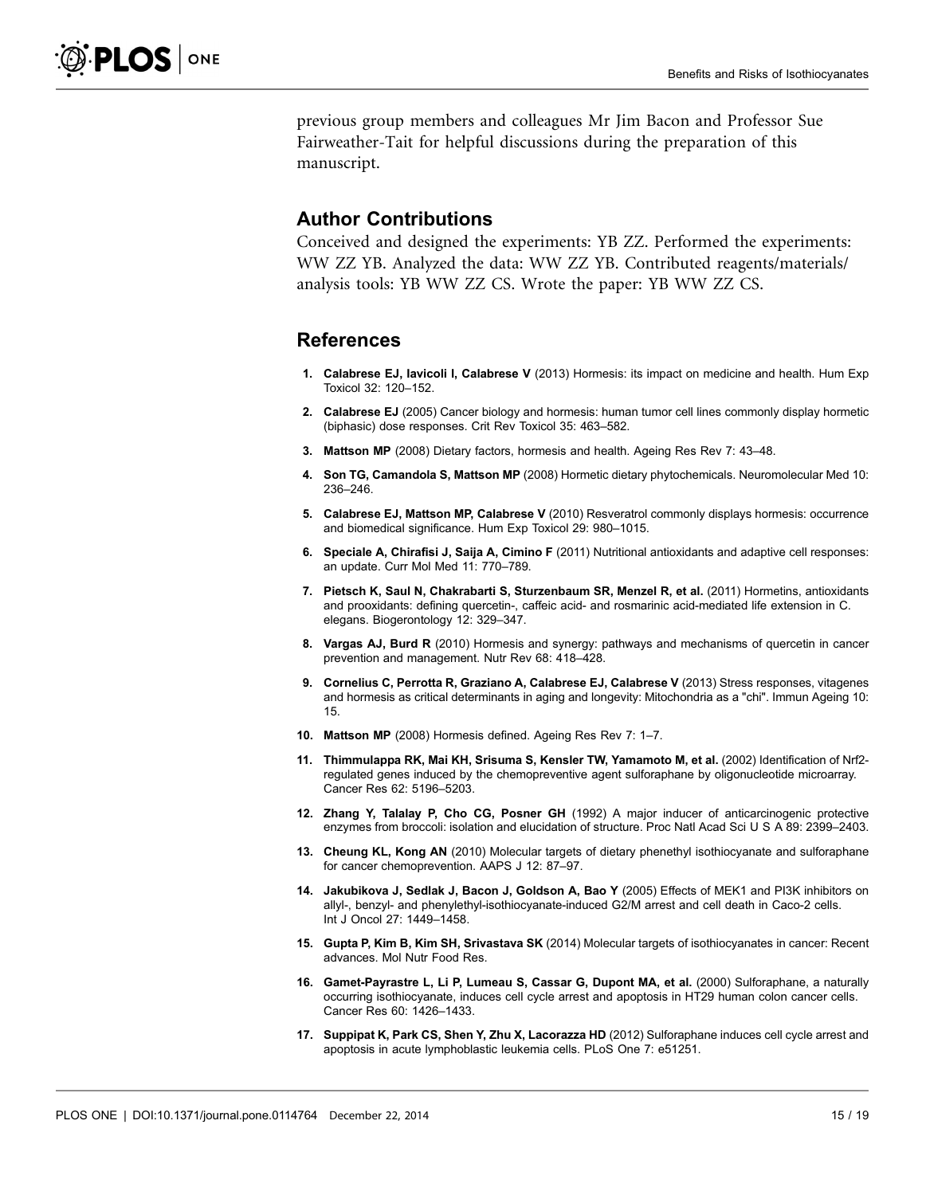<span id="page-14-0"></span>previous group members and colleagues Mr Jim Bacon and Professor Sue Fairweather-Tait for helpful discussions during the preparation of this manuscript.

#### Author Contributions

Conceived and designed the experiments: YB ZZ. Performed the experiments: WW ZZ YB. Analyzed the data: WW ZZ YB. Contributed reagents/materials/ analysis tools: YB WW ZZ CS. Wrote the paper: YB WW ZZ CS.

#### References

- 1. Calabrese EJ, Iavicoli I, Calabrese V (2013) Hormesis: its impact on medicine and health. Hum Exp Toxicol 32: 120–152.
- 2. Calabrese EJ (2005) Cancer biology and hormesis: human tumor cell lines commonly display hormetic (biphasic) dose responses. Crit Rev Toxicol 35: 463–582.
- 3. Mattson MP (2008) Dietary factors, hormesis and health. Ageing Res Rev 7: 43–48.
- 4. Son TG, Camandola S, Mattson MP (2008) Hormetic dietary phytochemicals. Neuromolecular Med 10: 236–246.
- 5. Calabrese EJ, Mattson MP, Calabrese V (2010) Resveratrol commonly displays hormesis: occurrence and biomedical significance. Hum Exp Toxicol 29: 980–1015.
- 6. Speciale A, Chirafisi J, Saija A, Cimino F (2011) Nutritional antioxidants and adaptive cell responses: an update. Curr Mol Med 11: 770–789.
- 7. Pietsch K, Saul N, Chakrabarti S, Sturzenbaum SR, Menzel R, et al. (2011) Hormetins, antioxidants and prooxidants: defining quercetin-, caffeic acid- and rosmarinic acid-mediated life extension in C. elegans. Biogerontology 12: 329–347.
- 8. Vargas AJ, Burd R (2010) Hormesis and synergy: pathways and mechanisms of quercetin in cancer prevention and management. Nutr Rev 68: 418–428.
- 9. Cornelius C, Perrotta R, Graziano A, Calabrese EJ, Calabrese V (2013) Stress responses, vitagenes and hormesis as critical determinants in aging and longevity: Mitochondria as a "chi". Immun Ageing 10: 15.
- 10. Mattson MP (2008) Hormesis defined. Ageing Res Rev 7: 1–7.
- 11. Thimmulappa RK, Mai KH, Srisuma S, Kensler TW, Yamamoto M, et al. (2002) Identification of Nrf2 regulated genes induced by the chemopreventive agent sulforaphane by oligonucleotide microarray. Cancer Res 62: 5196–5203.
- 12. Zhang Y, Talalay P, Cho CG, Posner GH (1992) A major inducer of anticarcinogenic protective enzymes from broccoli: isolation and elucidation of structure. Proc Natl Acad Sci U S A 89: 2399–2403.
- 13. Cheung KL, Kong AN (2010) Molecular targets of dietary phenethyl isothiocyanate and sulforaphane for cancer chemoprevention. AAPS J 12: 87–97.
- 14. Jakubikova J, Sedlak J, Bacon J, Goldson A, Bao Y (2005) Effects of MEK1 and PI3K inhibitors on allyl-, benzyl- and phenylethyl-isothiocyanate-induced G2/M arrest and cell death in Caco-2 cells. Int J Oncol 27: 1449–1458.
- 15. Gupta P, Kim B, Kim SH, Srivastava SK (2014) Molecular targets of isothiocyanates in cancer: Recent advances. Mol Nutr Food Res.
- 16. Gamet-Payrastre L, Li P, Lumeau S, Cassar G, Dupont MA, et al. (2000) Sulforaphane, a naturally occurring isothiocyanate, induces cell cycle arrest and apoptosis in HT29 human colon cancer cells. Cancer Res 60: 1426–1433.
- 17. Suppipat K, Park CS, Shen Y, Zhu X, Lacorazza HD (2012) Sulforaphane induces cell cycle arrest and apoptosis in acute lymphoblastic leukemia cells. PLoS One 7: e51251.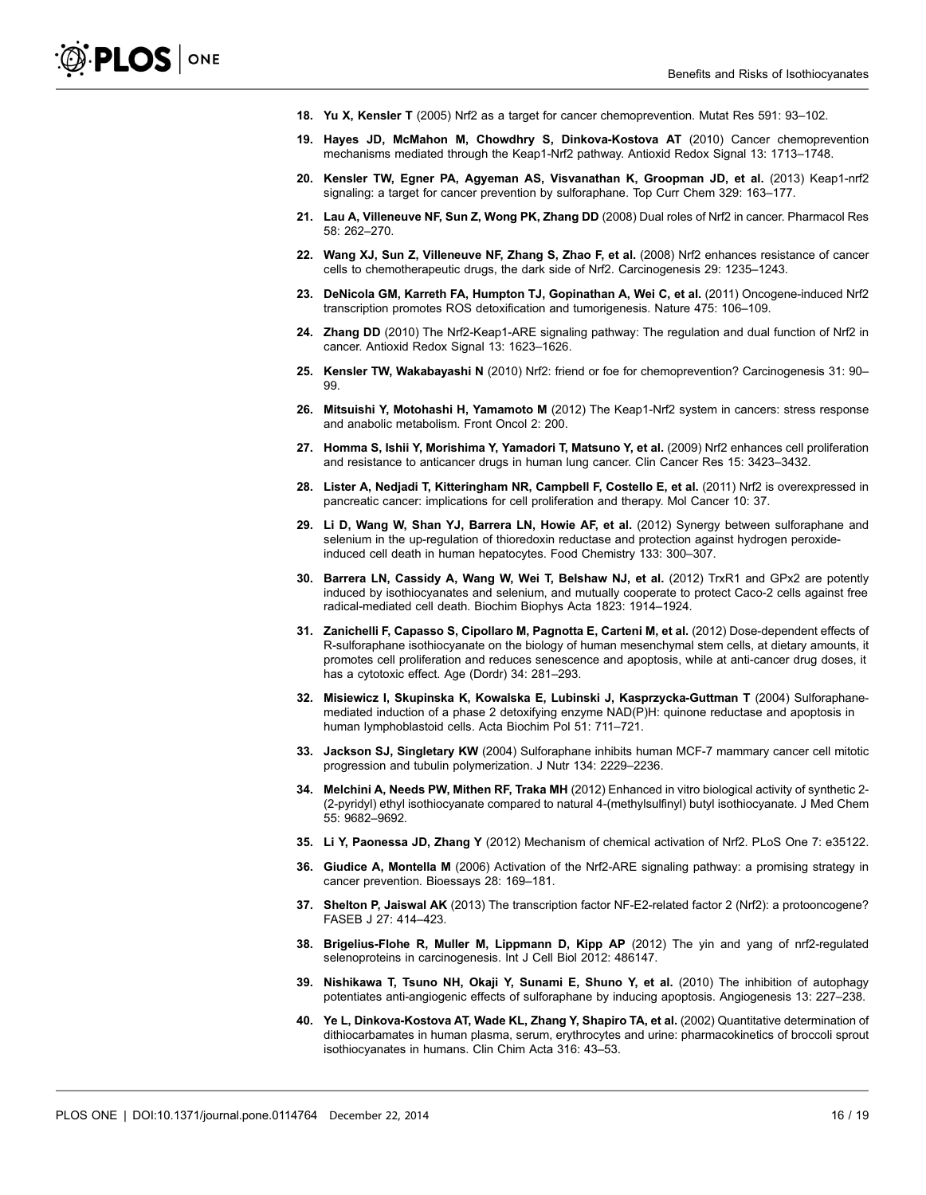- <span id="page-15-0"></span>18. Yu X, Kensler T (2005) Nrf2 as a target for cancer chemoprevention. Mutat Res 591: 93–102.
- 19. Hayes JD, McMahon M, Chowdhry S, Dinkova-Kostova AT (2010) Cancer chemoprevention mechanisms mediated through the Keap1-Nrf2 pathway. Antioxid Redox Signal 13: 1713–1748.
- 20. Kensler TW, Egner PA, Agyeman AS, Visvanathan K, Groopman JD, et al. (2013) Keap1-nrf2 signaling: a target for cancer prevention by sulforaphane. Top Curr Chem 329: 163–177.
- 21. Lau A, Villeneuve NF, Sun Z, Wong PK, Zhang DD (2008) Dual roles of Nrf2 in cancer. Pharmacol Res 58: 262–270.
- 22. Wang XJ, Sun Z, Villeneuve NF, Zhang S, Zhao F, et al. (2008) Nrf2 enhances resistance of cancer cells to chemotherapeutic drugs, the dark side of Nrf2. Carcinogenesis 29: 1235–1243.
- 23. DeNicola GM, Karreth FA, Humpton TJ, Gopinathan A, Wei C, et al. (2011) Oncogene-induced Nrf2 transcription promotes ROS detoxification and tumorigenesis. Nature 475: 106–109.
- 24. Zhang DD (2010) The Nrf2-Keap1-ARE signaling pathway: The regulation and dual function of Nrf2 in cancer. Antioxid Redox Signal 13: 1623–1626.
- 25. Kensler TW, Wakabayashi N (2010) Nrf2: friend or foe for chemoprevention? Carcinogenesis 31: 90– 99.
- 26. Mitsuishi Y, Motohashi H, Yamamoto M (2012) The Keap1-Nrf2 system in cancers: stress response and anabolic metabolism. Front Oncol 2: 200.
- 27. Homma S, Ishii Y, Morishima Y, Yamadori T, Matsuno Y, et al. (2009) Nrf2 enhances cell proliferation and resistance to anticancer drugs in human lung cancer. Clin Cancer Res 15: 3423–3432.
- 28. Lister A, Nediadi T, Kitteringham NR, Campbell F, Costello E, et al. (2011) Nrf2 is overexpressed in pancreatic cancer: implications for cell proliferation and therapy. Mol Cancer 10: 37.
- 29. Li D, Wang W, Shan YJ, Barrera LN, Howie AF, et al. (2012) Synergy between sulforaphane and selenium in the up-regulation of thioredoxin reductase and protection against hydrogen peroxideinduced cell death in human hepatocytes. Food Chemistry 133: 300–307.
- 30. Barrera LN, Cassidy A, Wang W, Wei T, Belshaw NJ, et al. (2012) TrxR1 and GPx2 are potently induced by isothiocyanates and selenium, and mutually cooperate to protect Caco-2 cells against free radical-mediated cell death. Biochim Biophys Acta 1823: 1914–1924.
- 31. Zanichelli F, Capasso S, Cipollaro M, Pagnotta E, Carteni M, et al. (2012) Dose-dependent effects of R-sulforaphane isothiocyanate on the biology of human mesenchymal stem cells, at dietary amounts, it promotes cell proliferation and reduces senescence and apoptosis, while at anti-cancer drug doses, it has a cytotoxic effect. Age (Dordr) 34: 281–293.
- 32. Misiewicz I, Skupinska K, Kowalska E, Lubinski J, Kasprzycka-Guttman T (2004) Sulforaphanemediated induction of a phase 2 detoxifying enzyme NAD(P)H: quinone reductase and apoptosis in human lymphoblastoid cells. Acta Biochim Pol 51: 711–721.
- 33. Jackson SJ, Singletary KW (2004) Sulforaphane inhibits human MCF-7 mammary cancer cell mitotic progression and tubulin polymerization. J Nutr 134: 2229–2236.
- 34. Melchini A, Needs PW, Mithen RF, Traka MH (2012) Enhanced in vitro biological activity of synthetic 2-(2-pyridyl) ethyl isothiocyanate compared to natural 4-(methylsulfinyl) butyl isothiocyanate. J Med Chem 55: 9682–9692.
- 35. Li Y, Paonessa JD, Zhang Y (2012) Mechanism of chemical activation of Nrf2. PLoS One 7: e35122.
- 36. Giudice A, Montella M (2006) Activation of the Nrf2-ARE signaling pathway: a promising strategy in cancer prevention. Bioessays 28: 169–181.
- 37. Shelton P, Jaiswal AK (2013) The transcription factor NF-E2-related factor 2 (Nrf2): a protooncogene? FASEB J 27: 414–423.
- 38. Brigelius-Flohe R, Muller M, Lippmann D, Kipp AP (2012) The yin and yang of nrf2-regulated selenoproteins in carcinogenesis. Int J Cell Biol 2012: 486147.
- 39. Nishikawa T, Tsuno NH, Okaji Y, Sunami E, Shuno Y, et al. (2010) The inhibition of autophagy potentiates anti-angiogenic effects of sulforaphane by inducing apoptosis. Angiogenesis 13: 227–238.
- 40. Ye L, Dinkova-Kostova AT, Wade KL, Zhang Y, Shapiro TA, et al. (2002) Quantitative determination of dithiocarbamates in human plasma, serum, erythrocytes and urine: pharmacokinetics of broccoli sprout isothiocyanates in humans. Clin Chim Acta 316: 43–53.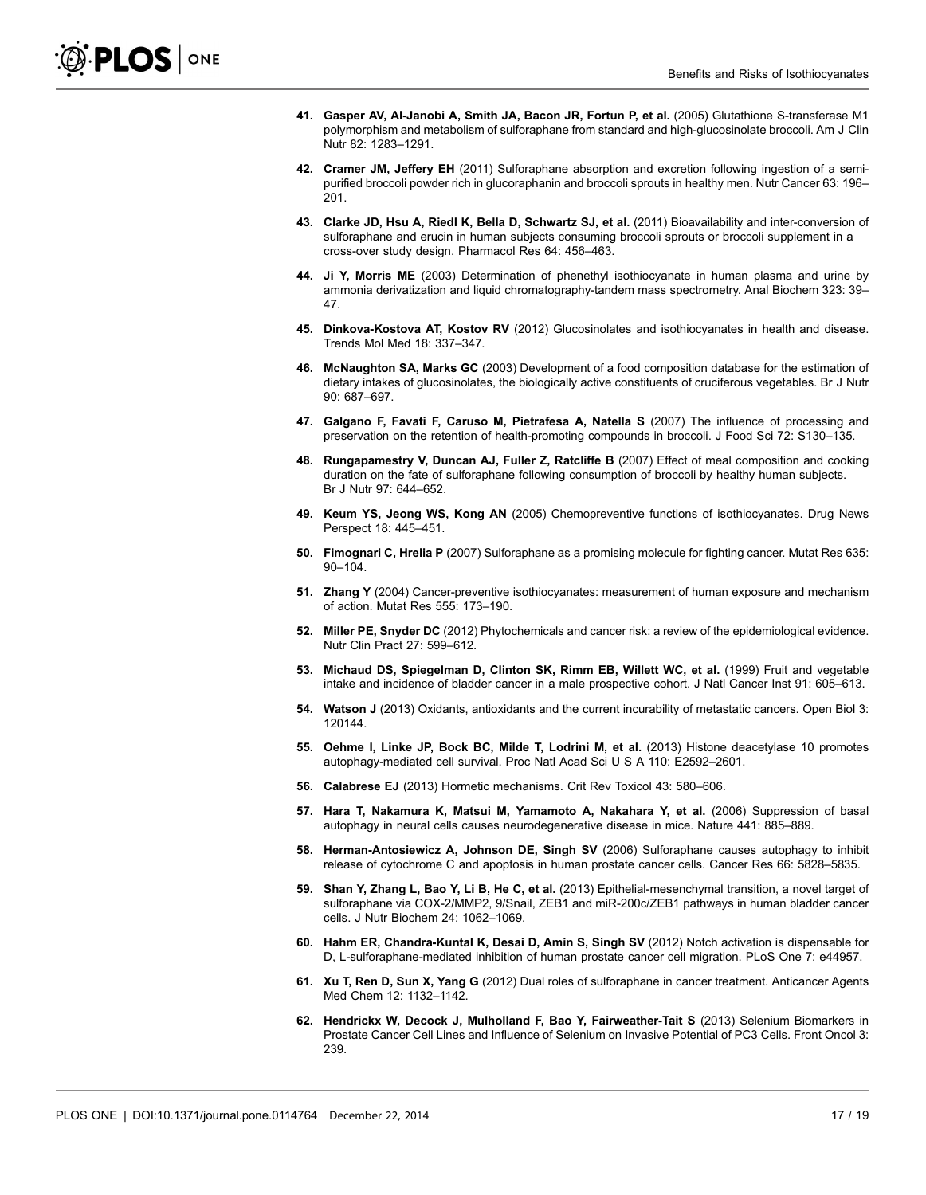- <span id="page-16-0"></span>41. Gasper AV, Al-Janobi A, Smith JA, Bacon JR, Fortun P, et al. (2005) Glutathione S-transferase M1 polymorphism and metabolism of sulforaphane from standard and high-glucosinolate broccoli. Am J Clin Nutr 82: 1283–1291.
- 42. Cramer JM, Jeffery EH (2011) Sulforaphane absorption and excretion following ingestion of a semipurified broccoli powder rich in glucoraphanin and broccoli sprouts in healthy men. Nutr Cancer 63: 196– 201.
- 43. Clarke JD, Hsu A, Riedl K, Bella D, Schwartz SJ, et al. (2011) Bioavailability and inter-conversion of sulforaphane and erucin in human subjects consuming broccoli sprouts or broccoli supplement in a cross-over study design. Pharmacol Res 64: 456–463.
- 44. Ji Y, Morris ME (2003) Determination of phenethyl isothiocyanate in human plasma and urine by ammonia derivatization and liquid chromatography-tandem mass spectrometry. Anal Biochem 323: 39– 47.
- 45. Dinkova-Kostova AT, Kostov RV (2012) Glucosinolates and isothiocyanates in health and disease. Trends Mol Med 18: 337–347.
- 46. McNaughton SA, Marks GC (2003) Development of a food composition database for the estimation of dietary intakes of glucosinolates, the biologically active constituents of cruciferous vegetables. Br J Nutr 90: 687–697.
- 47. Galgano F, Favati F, Caruso M, Pietrafesa A, Natella S (2007) The influence of processing and preservation on the retention of health-promoting compounds in broccoli. J Food Sci 72: S130–135.
- 48. Rungapamestry V, Duncan AJ, Fuller Z, Ratcliffe B (2007) Effect of meal composition and cooking duration on the fate of sulforaphane following consumption of broccoli by healthy human subjects. Br J Nutr 97: 644–652.
- 49. Keum YS, Jeong WS, Kong AN (2005) Chemopreventive functions of isothiocyanates. Drug News Perspect 18: 445–451.
- 50. Fimognari C, Hrelia P (2007) Sulforaphane as a promising molecule for fighting cancer. Mutat Res 635: 90–104.
- 51. Zhang Y (2004) Cancer-preventive isothiocyanates: measurement of human exposure and mechanism of action. Mutat Res 555: 173–190.
- 52. Miller PE, Snyder DC (2012) Phytochemicals and cancer risk: a review of the epidemiological evidence. Nutr Clin Pract 27: 599–612.
- 53. Michaud DS, Spiegelman D, Clinton SK, Rimm EB, Willett WC, et al. (1999) Fruit and vegetable intake and incidence of bladder cancer in a male prospective cohort. J Natl Cancer Inst 91: 605–613.
- 54. Watson J (2013) Oxidants, antioxidants and the current incurability of metastatic cancers. Open Biol 3: 120144.
- 55. Oehme I, Linke JP, Bock BC, Milde T, Lodrini M, et al. (2013) Histone deacetylase 10 promotes autophagy-mediated cell survival. Proc Natl Acad Sci U S A 110: E2592–2601.
- 56. Calabrese EJ (2013) Hormetic mechanisms. Crit Rev Toxicol 43: 580–606.
- 57. Hara T, Nakamura K, Matsui M, Yamamoto A, Nakahara Y, et al. (2006) Suppression of basal autophagy in neural cells causes neurodegenerative disease in mice. Nature 441: 885–889.
- 58. Herman-Antosiewicz A, Johnson DE, Singh SV (2006) Sulforaphane causes autophagy to inhibit release of cytochrome C and apoptosis in human prostate cancer cells. Cancer Res 66: 5828–5835.
- 59. Shan Y, Zhang L, Bao Y, Li B, He C, et al. (2013) Epithelial-mesenchymal transition, a novel target of sulforaphane via COX-2/MMP2, 9/Snail, ZEB1 and miR-200c/ZEB1 pathways in human bladder cancer cells. J Nutr Biochem 24: 1062–1069.
- 60. Hahm ER, Chandra-Kuntal K, Desai D, Amin S, Singh SV (2012) Notch activation is dispensable for D, L-sulforaphane-mediated inhibition of human prostate cancer cell migration. PLoS One 7: e44957.
- 61. Xu T, Ren D, Sun X, Yang G (2012) Dual roles of sulforaphane in cancer treatment. Anticancer Agents Med Chem 12: 1132–1142.
- 62. Hendrickx W, Decock J, Mulholland F, Bao Y, Fairweather-Tait S (2013) Selenium Biomarkers in Prostate Cancer Cell Lines and Influence of Selenium on Invasive Potential of PC3 Cells. Front Oncol 3: 239.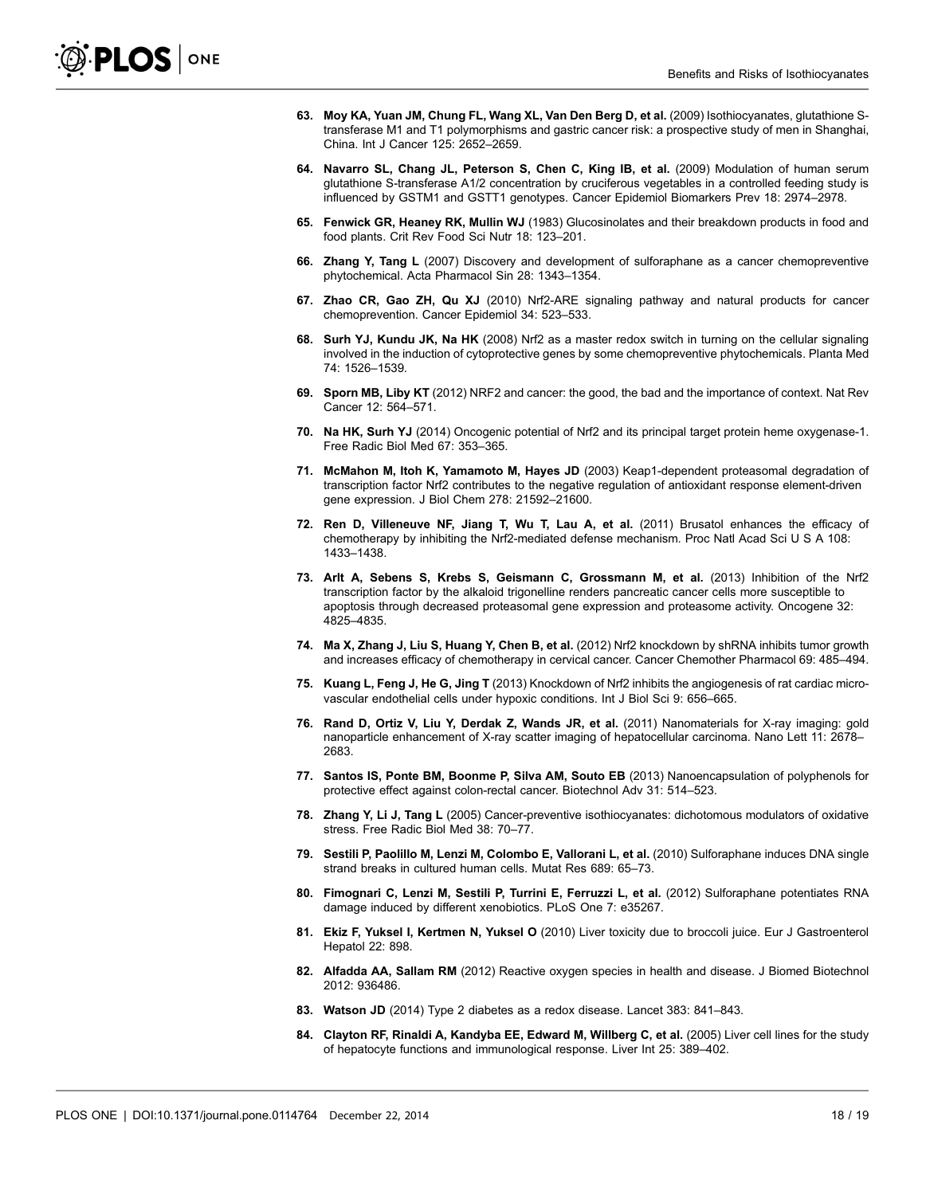- <span id="page-17-0"></span>63. Moy KA, Yuan JM, Chung FL, Wang XL, Van Den Berg D, et al. (2009) Isothiocyanates, glutathione Stransferase M1 and T1 polymorphisms and gastric cancer risk: a prospective study of men in Shanghai, China. Int J Cancer 125: 2652–2659.
- 64. Navarro SL, Chang JL, Peterson S, Chen C, King IB, et al. (2009) Modulation of human serum glutathione S-transferase A1/2 concentration by cruciferous vegetables in a controlled feeding study is influenced by GSTM1 and GSTT1 genotypes. Cancer Epidemiol Biomarkers Prev 18: 2974–2978.
- 65. Fenwick GR, Heaney RK, Mullin WJ (1983) Glucosinolates and their breakdown products in food and food plants. Crit Rev Food Sci Nutr 18: 123–201.
- 66. Zhang Y, Tang L (2007) Discovery and development of sulforaphane as a cancer chemopreventive phytochemical. Acta Pharmacol Sin 28: 1343–1354.
- 67. Zhao CR, Gao ZH, Qu XJ (2010) Nrf2-ARE signaling pathway and natural products for cancer chemoprevention. Cancer Epidemiol 34: 523–533.
- 68. Surh YJ, Kundu JK, Na HK (2008) Nrf2 as a master redox switch in turning on the cellular signaling involved in the induction of cytoprotective genes by some chemopreventive phytochemicals. Planta Med 74: 1526–1539.
- 69. Sporn MB, Liby KT (2012) NRF2 and cancer: the good, the bad and the importance of context. Nat Rev Cancer 12: 564–571.
- 70. Na HK, Surh YJ (2014) Oncogenic potential of Nrf2 and its principal target protein heme oxygenase-1. Free Radic Biol Med 67: 353–365.
- 71. McMahon M, Itoh K, Yamamoto M, Hayes JD (2003) Keap1-dependent proteasomal degradation of transcription factor Nrf2 contributes to the negative regulation of antioxidant response element-driven gene expression. J Biol Chem 278: 21592–21600.
- 72. Ren D, Villeneuve NF, Jiang T, Wu T, Lau A, et al. (2011) Brusatol enhances the efficacy of chemotherapy by inhibiting the Nrf2-mediated defense mechanism. Proc Natl Acad Sci U S A 108: 1433–1438.
- 73. Arlt A, Sebens S, Krebs S, Geismann C, Grossmann M, et al. (2013) Inhibition of the Nrf2 transcription factor by the alkaloid trigonelline renders pancreatic cancer cells more susceptible to apoptosis through decreased proteasomal gene expression and proteasome activity. Oncogene 32: 4825–4835.
- 74. Ma X, Zhang J, Liu S, Huang Y, Chen B, et al. (2012) Nrf2 knockdown by shRNA inhibits tumor growth and increases efficacy of chemotherapy in cervical cancer. Cancer Chemother Pharmacol 69: 485–494.
- 75. Kuang L, Feng J, He G, Jing T (2013) Knockdown of Nrf2 inhibits the angiogenesis of rat cardiac microvascular endothelial cells under hypoxic conditions. Int J Biol Sci 9: 656–665.
- 76. Rand D, Ortiz V, Liu Y, Derdak Z, Wands JR, et al. (2011) Nanomaterials for X-ray imaging: gold nanoparticle enhancement of X-ray scatter imaging of hepatocellular carcinoma. Nano Lett 11: 2678– 2683.
- 77. Santos IS, Ponte BM, Boonme P, Silva AM, Souto EB (2013) Nanoencapsulation of polyphenols for protective effect against colon-rectal cancer. Biotechnol Adv 31: 514–523.
- 78. Zhang Y, Li J, Tang L (2005) Cancer-preventive isothiocyanates: dichotomous modulators of oxidative stress. Free Radic Biol Med 38: 70–77.
- 79. Sestili P, Paolillo M, Lenzi M, Colombo E, Vallorani L, et al. (2010) Sulforaphane induces DNA single strand breaks in cultured human cells. Mutat Res 689: 65–73.
- 80. Fimognari C, Lenzi M, Sestili P, Turrini E, Ferruzzi L, et al. (2012) Sulforaphane potentiates RNA damage induced by different xenobiotics. PLoS One 7: e35267.
- 81. Ekiz F, Yuksel I, Kertmen N, Yuksel O (2010) Liver toxicity due to broccoli juice. Eur J Gastroenterol Hepatol 22: 898.
- 82. Alfadda AA, Sallam RM (2012) Reactive oxygen species in health and disease. J Biomed Biotechnol 2012: 936486.
- 83. Watson JD (2014) Type 2 diabetes as a redox disease. Lancet 383: 841–843.
- 84. Clayton RF, Rinaldi A, Kandyba EE, Edward M, Willberg C, et al. (2005) Liver cell lines for the study of hepatocyte functions and immunological response. Liver Int 25: 389–402.